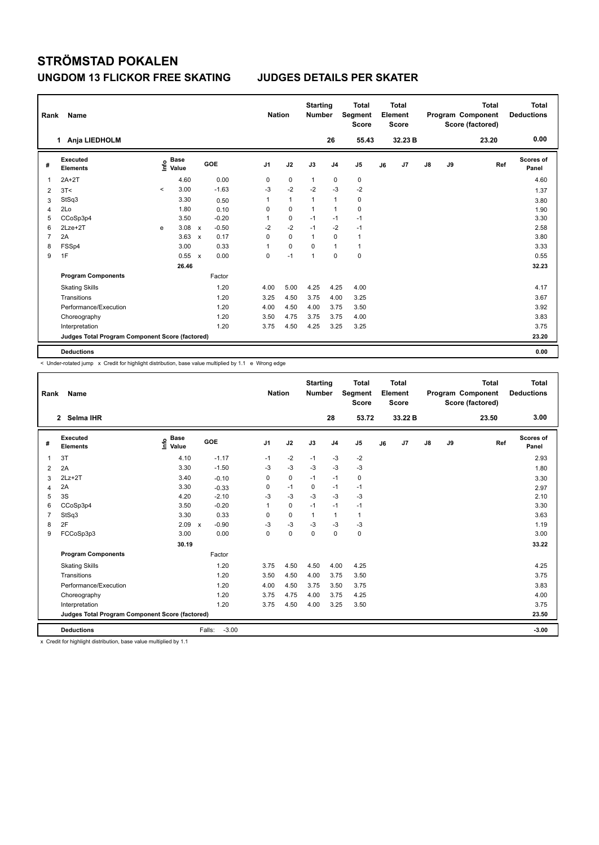| Rank           | Name                                            |         |                                  |              |            |             | <b>Nation</b> | <b>Starting</b><br><b>Number</b> |                | <b>Total</b><br>Segment<br><b>Score</b> |    | <b>Total</b><br>Element<br><b>Score</b> |               |    | <b>Total</b><br>Program Component<br>Score (factored) | <b>Total</b><br><b>Deductions</b> |
|----------------|-------------------------------------------------|---------|----------------------------------|--------------|------------|-------------|---------------|----------------------------------|----------------|-----------------------------------------|----|-----------------------------------------|---------------|----|-------------------------------------------------------|-----------------------------------|
|                | Anja LIEDHOLM<br>1.                             |         |                                  |              |            |             |               |                                  | 26             | 55.43                                   |    | 32.23 B                                 |               |    | 23.20                                                 | 0.00                              |
| #              | <b>Executed</b><br><b>Elements</b>              |         | <b>Base</b><br>e Base<br>⊆ Value |              | <b>GOE</b> | J1          | J2            | J3                               | J <sub>4</sub> | J <sub>5</sub>                          | J6 | J7                                      | $\mathsf{J}8$ | J9 | Ref                                                   | Scores of<br>Panel                |
| 1              | $2A+2T$                                         |         | 4.60                             |              | 0.00       | 0           | 0             | $\mathbf{1}$                     | 0              | 0                                       |    |                                         |               |    |                                                       | 4.60                              |
| 2              | 3T<                                             | $\prec$ | 3.00                             |              | $-1.63$    | -3          | $-2$          | $-2$                             | $-3$           | $-2$                                    |    |                                         |               |    |                                                       | 1.37                              |
| 3              | StSq3                                           |         | 3.30                             |              | 0.50       | 1           | $\mathbf{1}$  | $\mathbf{1}$                     | 1              | 0                                       |    |                                         |               |    |                                                       | 3.80                              |
| $\overline{4}$ | 2Lo                                             |         | 1.80                             |              | 0.10       | 0           | $\mathbf 0$   | $\mathbf{1}$                     | 1              | $\mathbf 0$                             |    |                                         |               |    |                                                       | 1.90                              |
| 5              | CCoSp3p4                                        |         | 3.50                             |              | $-0.20$    | 1           | 0             | $-1$                             | $-1$           | $-1$                                    |    |                                         |               |    |                                                       | 3.30                              |
| 6              | $2Lze+2T$                                       | e       | 3.08                             | $\mathsf{x}$ | $-0.50$    | $-2$        | $-2$          | $-1$                             | $-2$           | $-1$                                    |    |                                         |               |    |                                                       | 2.58                              |
| 7              | 2A                                              |         | 3.63                             | $\mathsf{x}$ | 0.17       | 0           | 0             | $\mathbf{1}$                     | $\mathbf 0$    | $\overline{1}$                          |    |                                         |               |    |                                                       | 3.80                              |
| 8              | FSSp4                                           |         | 3.00                             |              | 0.33       | $\mathbf 1$ | 0             | 0                                | 1              | $\mathbf{1}$                            |    |                                         |               |    |                                                       | 3.33                              |
| 9              | 1F                                              |         | 0.55                             | $\mathsf{x}$ | 0.00       | 0           | $-1$          | 1                                | $\mathbf 0$    | $\mathbf 0$                             |    |                                         |               |    |                                                       | 0.55                              |
|                |                                                 |         | 26.46                            |              |            |             |               |                                  |                |                                         |    |                                         |               |    |                                                       | 32.23                             |
|                | <b>Program Components</b>                       |         |                                  |              | Factor     |             |               |                                  |                |                                         |    |                                         |               |    |                                                       |                                   |
|                | <b>Skating Skills</b>                           |         |                                  |              | 1.20       | 4.00        | 5.00          | 4.25                             | 4.25           | 4.00                                    |    |                                         |               |    |                                                       | 4.17                              |
|                | Transitions                                     |         |                                  |              | 1.20       | 3.25        | 4.50          | 3.75                             | 4.00           | 3.25                                    |    |                                         |               |    |                                                       | 3.67                              |
|                | Performance/Execution                           |         |                                  |              | 1.20       | 4.00        | 4.50          | 4.00                             | 3.75           | 3.50                                    |    |                                         |               |    |                                                       | 3.92                              |
|                | Choreography                                    |         |                                  |              | 1.20       | 3.50        | 4.75          | 3.75                             | 3.75           | 4.00                                    |    |                                         |               |    |                                                       | 3.83                              |
|                | Interpretation                                  |         |                                  |              | 1.20       | 3.75        | 4.50          | 4.25                             | 3.25           | 3.25                                    |    |                                         |               |    |                                                       | 3.75                              |
|                | Judges Total Program Component Score (factored) |         |                                  |              |            |             |               |                                  |                |                                         |    |                                         |               |    |                                                       | 23.20                             |
|                | <b>Deductions</b>                               |         |                                  |              |            |             |               |                                  |                |                                         |    |                                         |               |    |                                                       | 0.00                              |

< Under-rotated jump x Credit for highlight distribution, base value multiplied by 1.1 e Wrong edge

| Rank           | Name                                            |                                  |                                      | <b>Nation</b>  |             | <b>Starting</b><br><b>Number</b> |                | <b>Total</b><br>Segment<br><b>Score</b> |    | Total<br>Element<br><b>Score</b> |               |    | <b>Total</b><br>Program Component<br>Score (factored) | Total<br><b>Deductions</b> |
|----------------|-------------------------------------------------|----------------------------------|--------------------------------------|----------------|-------------|----------------------------------|----------------|-----------------------------------------|----|----------------------------------|---------------|----|-------------------------------------------------------|----------------------------|
|                | 2 Selma IHR                                     |                                  |                                      |                |             |                                  | 28             | 53.72                                   |    | 33.22 B                          |               |    | 23.50                                                 | 3.00                       |
| #              | <b>Executed</b><br><b>Elements</b>              | <b>Base</b><br>e Base<br>⊆ Value | GOE                                  | J <sub>1</sub> | J2          | J3                               | J <sub>4</sub> | J <sub>5</sub>                          | J6 | J7                               | $\mathsf{J}8$ | J9 | Ref                                                   | <b>Scores of</b><br>Panel  |
| $\mathbf 1$    | 3T                                              | 4.10                             | $-1.17$                              | $-1$           | $-2$        | $-1$                             | $-3$           | $-2$                                    |    |                                  |               |    |                                                       | 2.93                       |
| 2              | 2A                                              | 3.30                             | $-1.50$                              | $-3$           | $-3$        | $-3$                             | $-3$           | $-3$                                    |    |                                  |               |    |                                                       | 1.80                       |
| 3              | $2Lz+2T$                                        | 3.40                             | $-0.10$                              | 0              | $\mathbf 0$ | $-1$                             | $-1$           | 0                                       |    |                                  |               |    |                                                       | 3.30                       |
| 4              | 2A                                              | 3.30                             | $-0.33$                              | 0              | $-1$        | 0                                | $-1$           | $-1$                                    |    |                                  |               |    |                                                       | 2.97                       |
| 5              | 3S                                              | 4.20                             | $-2.10$                              | $-3$           | $-3$        | $-3$                             | $-3$           | $-3$                                    |    |                                  |               |    |                                                       | 2.10                       |
| 6              | CCoSp3p4                                        | 3.50                             | $-0.20$                              | 1              | $\mathbf 0$ | $-1$                             | $-1$           | $-1$                                    |    |                                  |               |    |                                                       | 3.30                       |
| $\overline{7}$ | StSq3                                           | 3.30                             | 0.33                                 | 0              | $\mathbf 0$ | $\mathbf{1}$                     | $\mathbf{1}$   | $\mathbf{1}$                            |    |                                  |               |    |                                                       | 3.63                       |
| 8              | 2F                                              | 2.09                             | $-0.90$<br>$\boldsymbol{\mathsf{x}}$ | $-3$           | $-3$        | $-3$                             | $-3$           | $-3$                                    |    |                                  |               |    |                                                       | 1.19                       |
| 9              | FCCoSp3p3                                       | 3.00                             | 0.00                                 | 0              | $\mathbf 0$ | $\mathbf 0$                      | $\mathbf 0$    | $\mathbf 0$                             |    |                                  |               |    |                                                       | 3.00                       |
|                |                                                 | 30.19                            |                                      |                |             |                                  |                |                                         |    |                                  |               |    |                                                       | 33.22                      |
|                | <b>Program Components</b>                       |                                  | Factor                               |                |             |                                  |                |                                         |    |                                  |               |    |                                                       |                            |
|                | <b>Skating Skills</b>                           |                                  | 1.20                                 | 3.75           | 4.50        | 4.50                             | 4.00           | 4.25                                    |    |                                  |               |    |                                                       | 4.25                       |
|                | Transitions                                     |                                  | 1.20                                 | 3.50           | 4.50        | 4.00                             | 3.75           | 3.50                                    |    |                                  |               |    |                                                       | 3.75                       |
|                | Performance/Execution                           |                                  | 1.20                                 | 4.00           | 4.50        | 3.75                             | 3.50           | 3.75                                    |    |                                  |               |    |                                                       | 3.83                       |
|                | Choreography                                    |                                  | 1.20                                 | 3.75           | 4.75        | 4.00                             | 3.75           | 4.25                                    |    |                                  |               |    |                                                       | 4.00                       |
|                | Interpretation                                  |                                  | 1.20                                 | 3.75           | 4.50        | 4.00                             | 3.25           | 3.50                                    |    |                                  |               |    |                                                       | 3.75                       |
|                | Judges Total Program Component Score (factored) |                                  |                                      |                |             |                                  |                |                                         |    |                                  |               |    |                                                       | 23.50                      |
|                | <b>Deductions</b>                               |                                  | $-3.00$<br>Falls:                    |                |             |                                  |                |                                         |    |                                  |               |    |                                                       | $-3.00$                    |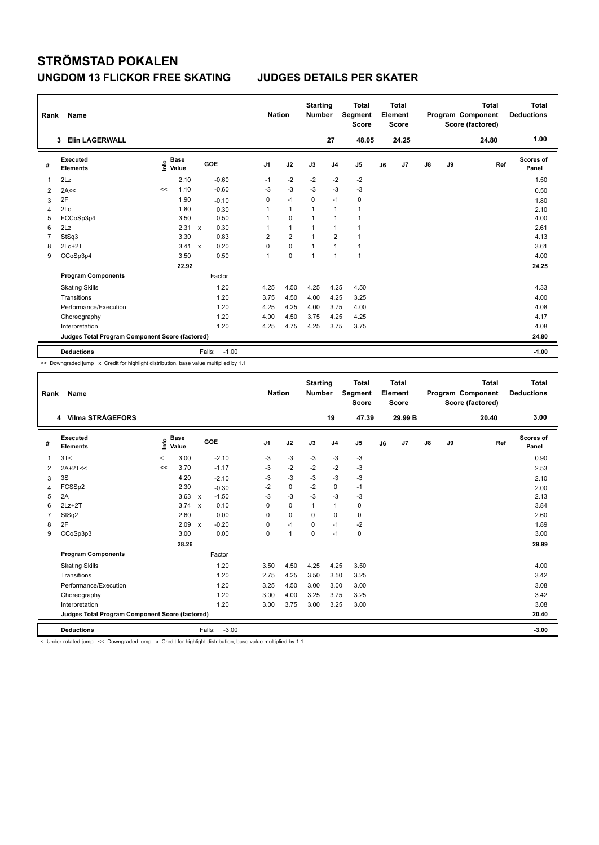| Rank           | Name                                            |      |                      |                           |         | <b>Nation</b>  |                | <b>Starting</b><br><b>Number</b> |                          | <b>Total</b><br>Segment<br><b>Score</b> |    | <b>Total</b><br>Element<br><b>Score</b> |    |    | <b>Total</b><br>Program Component<br>Score (factored) | Total<br><b>Deductions</b> |
|----------------|-------------------------------------------------|------|----------------------|---------------------------|---------|----------------|----------------|----------------------------------|--------------------------|-----------------------------------------|----|-----------------------------------------|----|----|-------------------------------------------------------|----------------------------|
|                | <b>Elin LAGERWALL</b><br>3                      |      |                      |                           |         |                |                |                                  | 27                       | 48.05                                   |    | 24.25                                   |    |    | 24.80                                                 | 1.00                       |
| #              | Executed<br><b>Elements</b>                     | lnfo | <b>Base</b><br>Value |                           | GOE     | J <sub>1</sub> | J2             | J3                               | J <sub>4</sub>           | J <sub>5</sub>                          | J6 | J7                                      | J8 | J9 | Ref                                                   | Scores of<br>Panel         |
| 1              | 2Lz                                             |      | 2.10                 |                           | $-0.60$ | $-1$           | $-2$           | $-2$                             | $-2$                     | $-2$                                    |    |                                         |    |    |                                                       | 1.50                       |
| 2              | 2A<<                                            | <<   | 1.10                 |                           | $-0.60$ | $-3$           | $-3$           | $-3$                             | $-3$                     | $-3$                                    |    |                                         |    |    |                                                       | 0.50                       |
| 3              | 2F                                              |      | 1.90                 |                           | $-0.10$ | 0              | $-1$           | $\Omega$                         | $-1$                     | 0                                       |    |                                         |    |    |                                                       | 1.80                       |
| 4              | 2Lo                                             |      | 1.80                 |                           | 0.30    | 1              | $\overline{1}$ | $\overline{1}$                   | $\mathbf{1}$             | $\mathbf{1}$                            |    |                                         |    |    |                                                       | 2.10                       |
| 5              | FCCoSp3p4                                       |      | 3.50                 |                           | 0.50    |                | $\mathbf 0$    | 1                                | $\overline{\phantom{a}}$ | $\mathbf{1}$                            |    |                                         |    |    |                                                       | 4.00                       |
| 6              | 2Lz                                             |      | 2.31                 | $\boldsymbol{\mathsf{x}}$ | 0.30    | 1              | $\mathbf{1}$   | 1                                | $\mathbf{1}$             | $\mathbf{1}$                            |    |                                         |    |    |                                                       | 2.61                       |
| $\overline{7}$ | StSq3                                           |      | 3.30                 |                           | 0.83    | $\overline{2}$ | $\overline{2}$ | $\overline{1}$                   | $\overline{2}$           | $\mathbf{1}$                            |    |                                         |    |    |                                                       | 4.13                       |
| 8              | $2Lo+2T$                                        |      | 3.41                 | $\mathbf x$               | 0.20    | 0              | $\mathbf 0$    | $\overline{1}$                   | $\overline{1}$           | $\mathbf{1}$                            |    |                                         |    |    |                                                       | 3.61                       |
| 9              | CCoSp3p4                                        |      | 3.50                 |                           | 0.50    | 1              | $\mathbf 0$    | $\overline{1}$                   | $\mathbf{1}$             | $\mathbf{1}$                            |    |                                         |    |    |                                                       | 4.00                       |
|                |                                                 |      | 22.92                |                           |         |                |                |                                  |                          |                                         |    |                                         |    |    |                                                       | 24.25                      |
|                | <b>Program Components</b>                       |      |                      |                           | Factor  |                |                |                                  |                          |                                         |    |                                         |    |    |                                                       |                            |
|                | <b>Skating Skills</b>                           |      |                      |                           | 1.20    | 4.25           | 4.50           | 4.25                             | 4.25                     | 4.50                                    |    |                                         |    |    |                                                       | 4.33                       |
|                | Transitions                                     |      |                      |                           | 1.20    | 3.75           | 4.50           | 4.00                             | 4.25                     | 3.25                                    |    |                                         |    |    |                                                       | 4.00                       |
|                | Performance/Execution                           |      |                      |                           | 1.20    | 4.25           | 4.25           | 4.00                             | 3.75                     | 4.00                                    |    |                                         |    |    |                                                       | 4.08                       |
|                | Choreography                                    |      |                      |                           | 1.20    | 4.00           | 4.50           | 3.75                             | 4.25                     | 4.25                                    |    |                                         |    |    |                                                       | 4.17                       |
|                | Interpretation                                  |      |                      |                           | 1.20    | 4.25           | 4.75           | 4.25                             | 3.75                     | 3.75                                    |    |                                         |    |    |                                                       | 4.08                       |
|                | Judges Total Program Component Score (factored) |      |                      |                           |         |                |                |                                  |                          |                                         |    |                                         |    |    |                                                       | 24.80                      |
|                | <b>Deductions</b>                               |      |                      | Falls:                    | $-1.00$ |                |                |                                  |                          |                                         |    |                                         |    |    |                                                       | $-1.00$                    |

<< Downgraded jump x Credit for highlight distribution, base value multiplied by 1.1

| Rank           | <b>Name</b>                                     |         |                      |                           |         | <b>Nation</b>  |                      | <b>Starting</b><br><b>Number</b> |                | <b>Total</b><br>Segment<br><b>Score</b> |    | <b>Total</b><br>Element<br><b>Score</b> |               |    | <b>Total</b><br>Program Component<br>Score (factored) | <b>Total</b><br><b>Deductions</b> |
|----------------|-------------------------------------------------|---------|----------------------|---------------------------|---------|----------------|----------------------|----------------------------------|----------------|-----------------------------------------|----|-----------------------------------------|---------------|----|-------------------------------------------------------|-----------------------------------|
|                | 4 Vilma STRÅGEFORS                              |         |                      |                           |         |                |                      |                                  | 19             | 47.39                                   |    | 29.99 B                                 |               |    | 20.40                                                 | 3.00                              |
| #              | Executed<br><b>Elements</b>                     | ١nfo    | <b>Base</b><br>Value |                           | GOE     | J <sub>1</sub> | J2                   | J3                               | J <sub>4</sub> | J <sub>5</sub>                          | J6 | J <sub>7</sub>                          | $\mathsf{J}8$ | J9 | Ref                                                   | <b>Scores of</b><br>Panel         |
| 1              | 3T<                                             | $\prec$ | 3.00                 |                           | $-2.10$ | -3             | -3                   | $-3$                             | $-3$           | $-3$                                    |    |                                         |               |    |                                                       | 0.90                              |
| 2              | $2A+2T<<$                                       | <<      | 3.70                 |                           | $-1.17$ | $-3$           | $-2$                 | $-2$                             | $-2$           | $-3$                                    |    |                                         |               |    |                                                       | 2.53                              |
| 3              | 3S                                              |         | 4.20                 |                           | $-2.10$ | -3             | $-3$                 | $-3$                             | $-3$           | $-3$                                    |    |                                         |               |    |                                                       | 2.10                              |
| $\overline{4}$ | FCSSp2                                          |         | 2.30                 |                           | $-0.30$ | $-2$           | $\mathbf 0$          | $-2$                             | $\mathbf 0$    | $-1$                                    |    |                                         |               |    |                                                       | 2.00                              |
| 5              | 2A                                              |         | 3.63                 | $\mathbf{x}$              | $-1.50$ | $-3$           | $-3$                 | $-3$                             | $-3$           | $-3$                                    |    |                                         |               |    |                                                       | 2.13                              |
| 6              | $2Lz+2T$                                        |         | $3.74 \times$        |                           | 0.10    | $\Omega$       | $\mathbf 0$          | $\mathbf{1}$                     | $\mathbf{1}$   | $\mathbf 0$                             |    |                                         |               |    |                                                       | 3.84                              |
| $\overline{7}$ | StSq2                                           |         | 2.60                 |                           | 0.00    | $\mathbf 0$    | $\mathbf 0$          | $\Omega$                         | $\mathbf 0$    | 0                                       |    |                                         |               |    |                                                       | 2.60                              |
| 8              | 2F                                              |         | 2.09                 | $\boldsymbol{\mathsf{x}}$ | $-0.20$ | 0              | $-1$                 | $\Omega$                         | $-1$           | $-2$                                    |    |                                         |               |    |                                                       | 1.89                              |
| 9              | CCoSp3p3                                        |         | 3.00                 |                           | 0.00    | 0              | $\blacktriangleleft$ | 0                                | $-1$           | $\mathbf 0$                             |    |                                         |               |    |                                                       | 3.00                              |
|                |                                                 |         | 28.26                |                           |         |                |                      |                                  |                |                                         |    |                                         |               |    |                                                       | 29.99                             |
|                | <b>Program Components</b>                       |         |                      |                           | Factor  |                |                      |                                  |                |                                         |    |                                         |               |    |                                                       |                                   |
|                | <b>Skating Skills</b>                           |         |                      |                           | 1.20    | 3.50           | 4.50                 | 4.25                             | 4.25           | 3.50                                    |    |                                         |               |    |                                                       | 4.00                              |
|                | Transitions                                     |         |                      |                           | 1.20    | 2.75           | 4.25                 | 3.50                             | 3.50           | 3.25                                    |    |                                         |               |    |                                                       | 3.42                              |
|                | Performance/Execution                           |         |                      |                           | 1.20    | 3.25           | 4.50                 | 3.00                             | 3.00           | 3.00                                    |    |                                         |               |    |                                                       | 3.08                              |
|                | Choreography                                    |         |                      |                           | 1.20    | 3.00           | 4.00                 | 3.25                             | 3.75           | 3.25                                    |    |                                         |               |    |                                                       | 3.42                              |
|                | Interpretation                                  |         |                      |                           | 1.20    | 3.00           | 3.75                 | 3.00                             | 3.25           | 3.00                                    |    |                                         |               |    |                                                       | 3.08                              |
|                | Judges Total Program Component Score (factored) |         |                      |                           |         |                |                      |                                  |                |                                         |    |                                         |               |    |                                                       | 20.40                             |
|                | <b>Deductions</b>                               |         |                      | Falls:                    | $-3.00$ |                |                      |                                  |                |                                         |    |                                         |               |    |                                                       | $-3.00$                           |

< Under-rotated jump << Downgraded jump x Credit for highlight distribution, base value multiplied by 1.1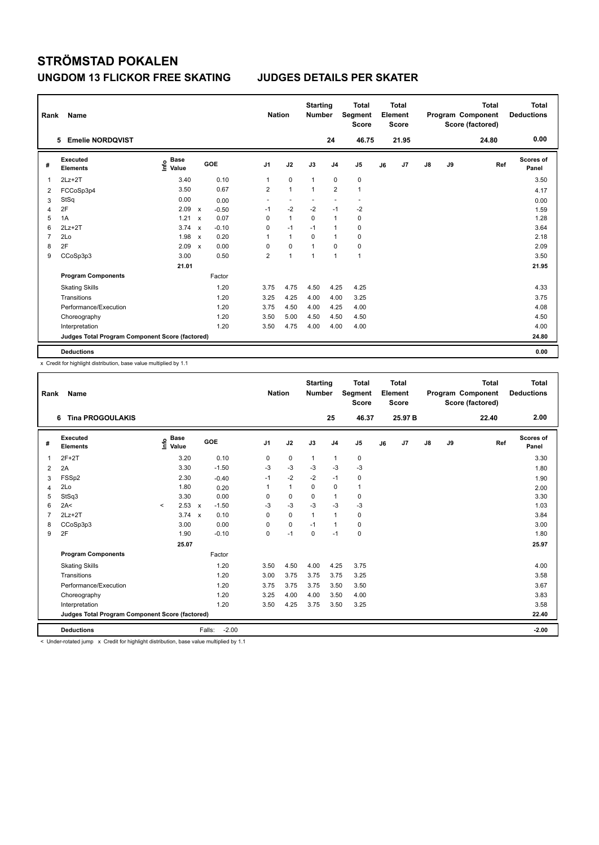| Rank           | Name                                            |                                  |                           |         |                | <b>Nation</b>  | <b>Starting</b><br><b>Number</b> |                | <b>Total</b><br>Segment<br><b>Score</b> |    | <b>Total</b><br>Element<br><b>Score</b> |               |    | <b>Total</b><br>Program Component<br>Score (factored) | Total<br><b>Deductions</b> |
|----------------|-------------------------------------------------|----------------------------------|---------------------------|---------|----------------|----------------|----------------------------------|----------------|-----------------------------------------|----|-----------------------------------------|---------------|----|-------------------------------------------------------|----------------------------|
|                | <b>Emelie NORDQVIST</b><br>5                    |                                  |                           |         |                |                |                                  | 24             | 46.75                                   |    | 21.95                                   |               |    | 24.80                                                 | 0.00                       |
| #              | Executed<br><b>Elements</b>                     | <b>Base</b><br>e Base<br>⊆ Value |                           | GOE     | J <sub>1</sub> | J2             | J3                               | J <sub>4</sub> | J <sub>5</sub>                          | J6 | J7                                      | $\mathsf{J}8$ | J9 | Ref                                                   | <b>Scores of</b><br>Panel  |
| 1              | $2Lz+2T$                                        | 3.40                             |                           | 0.10    | 1              | $\mathbf 0$    | $\overline{1}$                   | $\pmb{0}$      | 0                                       |    |                                         |               |    |                                                       | 3.50                       |
| $\overline{2}$ | FCCoSp3p4                                       | 3.50                             |                           | 0.67    | $\overline{2}$ | $\overline{1}$ | $\overline{1}$                   | $\overline{2}$ | $\mathbf{1}$                            |    |                                         |               |    |                                                       | 4.17                       |
| 3              | StSq                                            | 0.00                             |                           | 0.00    | ٠              |                |                                  |                | $\overline{\phantom{a}}$                |    |                                         |               |    |                                                       | 0.00                       |
| 4              | 2F                                              | 2.09                             | $\mathsf{x}$              | $-0.50$ | $-1$           | $-2$           | $-2$                             | $-1$           | $-2$                                    |    |                                         |               |    |                                                       | 1.59                       |
| 5              | 1A                                              | 1.21                             | $\boldsymbol{\mathsf{x}}$ | 0.07    | 0              | $\overline{1}$ | $\Omega$                         | $\mathbf{1}$   | 0                                       |    |                                         |               |    |                                                       | 1.28                       |
| 6              | $2Lz+2T$                                        | 3.74                             | $\mathsf{x}$              | $-0.10$ | 0              | $-1$           | $-1$                             | $\mathbf{1}$   | $\mathbf 0$                             |    |                                         |               |    |                                                       | 3.64                       |
| $\overline{7}$ | 2Lo                                             | 1.98                             | $\mathsf{x}$              | 0.20    | 1              | $\mathbf{1}$   | $\Omega$                         | $\mathbf{1}$   | 0                                       |    |                                         |               |    |                                                       | 2.18                       |
| 8              | 2F                                              | 2.09                             | $\boldsymbol{\mathsf{x}}$ | 0.00    | 0              | 0              | $\overline{1}$                   | 0              | 0                                       |    |                                         |               |    |                                                       | 2.09                       |
| 9              | CCoSp3p3                                        | 3.00                             |                           | 0.50    | $\overline{2}$ | $\overline{1}$ | $\overline{1}$                   | $\mathbf{1}$   | $\mathbf{1}$                            |    |                                         |               |    |                                                       | 3.50                       |
|                |                                                 | 21.01                            |                           |         |                |                |                                  |                |                                         |    |                                         |               |    |                                                       | 21.95                      |
|                | <b>Program Components</b>                       |                                  |                           | Factor  |                |                |                                  |                |                                         |    |                                         |               |    |                                                       |                            |
|                | <b>Skating Skills</b>                           |                                  |                           | 1.20    | 3.75           | 4.75           | 4.50                             | 4.25           | 4.25                                    |    |                                         |               |    |                                                       | 4.33                       |
|                | Transitions                                     |                                  |                           | 1.20    | 3.25           | 4.25           | 4.00                             | 4.00           | 3.25                                    |    |                                         |               |    |                                                       | 3.75                       |
|                | Performance/Execution                           |                                  |                           | 1.20    | 3.75           | 4.50           | 4.00                             | 4.25           | 4.00                                    |    |                                         |               |    |                                                       | 4.08                       |
|                | Choreography                                    |                                  |                           | 1.20    | 3.50           | 5.00           | 4.50                             | 4.50           | 4.50                                    |    |                                         |               |    |                                                       | 4.50                       |
|                | Interpretation                                  |                                  |                           | 1.20    | 3.50           | 4.75           | 4.00                             | 4.00           | 4.00                                    |    |                                         |               |    |                                                       | 4.00                       |
|                | Judges Total Program Component Score (factored) |                                  |                           |         |                |                |                                  |                |                                         |    |                                         |               |    |                                                       | 24.80                      |
|                | <b>Deductions</b>                               |                                  |                           |         |                |                |                                  |                |                                         |    |                                         |               |    |                                                       | 0.00                       |

x Credit for highlight distribution, base value multiplied by 1.1

| Rank           | Name                                            |                                  |       |                                   |                | <b>Nation</b> |              | <b>Starting</b><br><b>Number</b> |                | <b>Total</b><br>Segment<br><b>Score</b> |    | Total<br>Element<br><b>Score</b> |    |    | <b>Total</b><br>Program Component<br>Score (factored) | Total<br><b>Deductions</b> |
|----------------|-------------------------------------------------|----------------------------------|-------|-----------------------------------|----------------|---------------|--------------|----------------------------------|----------------|-----------------------------------------|----|----------------------------------|----|----|-------------------------------------------------------|----------------------------|
|                | <b>Tina PROGOULAKIS</b><br>6                    |                                  |       |                                   |                |               |              |                                  | 25             | 46.37                                   |    | 25.97 B                          |    |    | 22.40                                                 | 2.00                       |
| #              | Executed<br><b>Elements</b>                     | <b>Base</b><br>e Base<br>⊆ Value |       | GOE                               | J <sub>1</sub> |               | J2           | J3                               | J <sub>4</sub> | J <sub>5</sub>                          | J6 | J7                               | J8 | J9 | Ref                                                   | <b>Scores of</b><br>Panel  |
| 1              | $2F+2T$                                         |                                  | 3.20  | 0.10                              | 0              |               | $\mathbf 0$  | $\mathbf{1}$                     | $\mathbf{1}$   | 0                                       |    |                                  |    |    |                                                       | 3.30                       |
| $\overline{2}$ | 2A                                              |                                  | 3.30  | $-1.50$                           | $-3$           |               | $-3$         | $-3$                             | $-3$           | $-3$                                    |    |                                  |    |    |                                                       | 1.80                       |
| 3              | FSSp2                                           |                                  | 2.30  | $-0.40$                           | $-1$           |               | $-2$         | $-2$                             | $-1$           | 0                                       |    |                                  |    |    |                                                       | 1.90                       |
| $\overline{4}$ | 2Lo                                             |                                  | 1.80  | 0.20                              | 1              |               | $\mathbf{1}$ | $\Omega$                         | $\mathbf 0$    | $\mathbf{1}$                            |    |                                  |    |    |                                                       | 2.00                       |
| 5              | StSq3                                           |                                  | 3.30  | 0.00                              | 0              |               | $\mathbf 0$  | $\mathbf 0$                      | $\mathbf{1}$   | $\mathbf 0$                             |    |                                  |    |    |                                                       | 3.30                       |
| 6              | 2A<                                             | $\prec$                          | 2.53  | $-1.50$<br>$\mathsf{x}$           | -3             |               | $-3$         | $-3$                             | $-3$           | $-3$                                    |    |                                  |    |    |                                                       | 1.03                       |
| $\overline{7}$ | $2Lz + 2T$                                      |                                  | 3.74  | 0.10<br>$\boldsymbol{\mathsf{x}}$ | 0              |               | $\mathbf 0$  | $\mathbf{1}$                     | $\mathbf{1}$   | $\pmb{0}$                               |    |                                  |    |    |                                                       | 3.84                       |
| 8              | CCoSp3p3                                        |                                  | 3.00  | 0.00                              | $\Omega$       |               | $\mathbf 0$  | $-1$                             | $\mathbf{1}$   | 0                                       |    |                                  |    |    |                                                       | 3.00                       |
| 9              | 2F                                              |                                  | 1.90  | $-0.10$                           | 0              |               | $-1$         | $\mathbf 0$                      | $-1$           | $\mathbf 0$                             |    |                                  |    |    |                                                       | 1.80                       |
|                |                                                 |                                  | 25.07 |                                   |                |               |              |                                  |                |                                         |    |                                  |    |    |                                                       | 25.97                      |
|                | <b>Program Components</b>                       |                                  |       | Factor                            |                |               |              |                                  |                |                                         |    |                                  |    |    |                                                       |                            |
|                | <b>Skating Skills</b>                           |                                  |       | 1.20                              | 3.50           |               | 4.50         | 4.00                             | 4.25           | 3.75                                    |    |                                  |    |    |                                                       | 4.00                       |
|                | Transitions                                     |                                  |       | 1.20                              | 3.00           |               | 3.75         | 3.75                             | 3.75           | 3.25                                    |    |                                  |    |    |                                                       | 3.58                       |
|                | Performance/Execution                           |                                  |       | 1.20                              | 3.75           |               | 3.75         | 3.75                             | 3.50           | 3.50                                    |    |                                  |    |    |                                                       | 3.67                       |
|                | Choreography                                    |                                  |       | 1.20                              | 3.25           |               | 4.00         | 4.00                             | 3.50           | 4.00                                    |    |                                  |    |    |                                                       | 3.83                       |
|                | Interpretation                                  |                                  |       | 1.20                              | 3.50           |               | 4.25         | 3.75                             | 3.50           | 3.25                                    |    |                                  |    |    |                                                       | 3.58                       |
|                | Judges Total Program Component Score (factored) |                                  |       |                                   |                |               |              |                                  |                |                                         |    |                                  |    |    |                                                       | 22.40                      |
|                | <b>Deductions</b>                               |                                  |       | $-2.00$<br>Falls:                 |                |               |              |                                  |                |                                         |    |                                  |    |    |                                                       | $-2.00$                    |

< Under-rotated jump x Credit for highlight distribution, base value multiplied by 1.1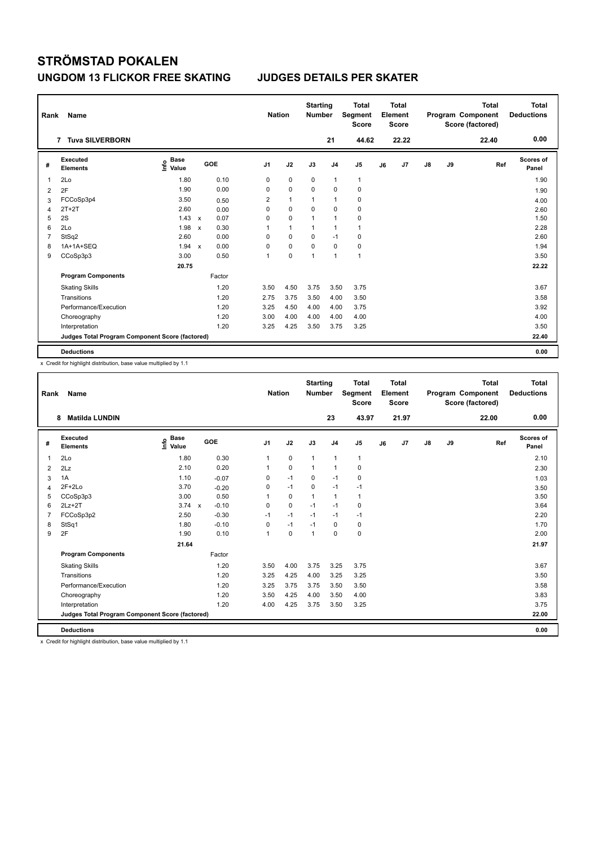| Rank           | <b>Name</b>                                     |                              |                           |        |                | <b>Nation</b> | <b>Starting</b><br><b>Number</b> |                | <b>Total</b><br>Segment<br><b>Score</b> |    | <b>Total</b><br>Element<br><b>Score</b> |    |    | <b>Total</b><br>Program Component<br>Score (factored) | Total<br><b>Deductions</b> |
|----------------|-------------------------------------------------|------------------------------|---------------------------|--------|----------------|---------------|----------------------------------|----------------|-----------------------------------------|----|-----------------------------------------|----|----|-------------------------------------------------------|----------------------------|
|                | 7 Tuva SILVERBORN                               |                              |                           |        |                |               |                                  | 21             | 44.62                                   |    | 22.22                                   |    |    | 22.40                                                 | 0.00                       |
| #              | Executed<br><b>Elements</b>                     | <b>Base</b><br>lnfo<br>Value |                           | GOE    | J <sub>1</sub> | J2            | J3                               | J <sub>4</sub> | J <sub>5</sub>                          | J6 | J7                                      | J8 | J9 | Ref                                                   | <b>Scores of</b><br>Panel  |
| $\overline{1}$ | 2Lo                                             | 1.80                         |                           | 0.10   | 0              | $\mathbf 0$   | $\mathbf 0$                      | $\overline{1}$ | $\mathbf{1}$                            |    |                                         |    |    |                                                       | 1.90                       |
| 2              | 2F                                              | 1.90                         |                           | 0.00   | 0              | $\mathbf 0$   | $\mathbf 0$                      | $\mathbf 0$    | $\pmb{0}$                               |    |                                         |    |    |                                                       | 1.90                       |
| 3              | FCCoSp3p4                                       | 3.50                         |                           | 0.50   | 2              | $\mathbf{1}$  | 1                                | $\overline{1}$ | 0                                       |    |                                         |    |    |                                                       | 4.00                       |
| 4              | $2T+2T$                                         | 2.60                         |                           | 0.00   | $\Omega$       | $\mathbf 0$   | $\mathbf 0$                      | $\mathbf 0$    | 0                                       |    |                                         |    |    |                                                       | 2.60                       |
| 5              | 2S                                              | 1.43                         | $\mathsf{x}$              | 0.07   | 0              | $\pmb{0}$     | 1                                | $\overline{1}$ | 0                                       |    |                                         |    |    |                                                       | 1.50                       |
| 6              | 2Lo                                             | 1.98                         | $\boldsymbol{\mathsf{x}}$ | 0.30   | 1              | $\mathbf{1}$  | 1                                | $\overline{1}$ | $\mathbf{1}$                            |    |                                         |    |    |                                                       | 2.28                       |
| $\overline{7}$ | StSq2                                           | 2.60                         |                           | 0.00   | $\Omega$       | 0             | 0                                | $-1$           | 0                                       |    |                                         |    |    |                                                       | 2.60                       |
| 8              | 1A+1A+SEQ                                       | 1.94                         | $\boldsymbol{\mathsf{x}}$ | 0.00   | 0              | $\mathbf 0$   | $\mathbf 0$                      | $\mathbf 0$    | $\pmb{0}$                               |    |                                         |    |    |                                                       | 1.94                       |
| 9              | CCoSp3p3                                        | 3.00                         |                           | 0.50   | 1              | $\mathbf 0$   | 1                                | $\overline{1}$ | $\overline{1}$                          |    |                                         |    |    |                                                       | 3.50                       |
|                |                                                 | 20.75                        |                           |        |                |               |                                  |                |                                         |    |                                         |    |    |                                                       | 22.22                      |
|                | <b>Program Components</b>                       |                              |                           | Factor |                |               |                                  |                |                                         |    |                                         |    |    |                                                       |                            |
|                | <b>Skating Skills</b>                           |                              |                           | 1.20   | 3.50           | 4.50          | 3.75                             | 3.50           | 3.75                                    |    |                                         |    |    |                                                       | 3.67                       |
|                | Transitions                                     |                              |                           | 1.20   | 2.75           | 3.75          | 3.50                             | 4.00           | 3.50                                    |    |                                         |    |    |                                                       | 3.58                       |
|                | Performance/Execution                           |                              |                           | 1.20   | 3.25           | 4.50          | 4.00                             | 4.00           | 3.75                                    |    |                                         |    |    |                                                       | 3.92                       |
|                | Choreography                                    |                              |                           | 1.20   | 3.00           | 4.00          | 4.00                             | 4.00           | 4.00                                    |    |                                         |    |    |                                                       | 4.00                       |
|                | Interpretation                                  |                              |                           | 1.20   | 3.25           | 4.25          | 3.50                             | 3.75           | 3.25                                    |    |                                         |    |    |                                                       | 3.50                       |
|                | Judges Total Program Component Score (factored) |                              |                           |        |                |               |                                  |                |                                         |    |                                         |    |    |                                                       | 22.40                      |
|                | <b>Deductions</b>                               |                              |                           |        |                |               |                                  |                |                                         |    |                                         |    |    |                                                       | 0.00                       |

x Credit for highlight distribution, base value multiplied by 1.1

| Rank           | Name                                            |                                  |         | <b>Nation</b>  |             | <b>Starting</b><br><b>Number</b> |                | <b>Total</b><br>Segment<br><b>Score</b> |    | <b>Total</b><br>Element<br><b>Score</b> |               |    | <b>Total</b><br>Program Component<br>Score (factored) | <b>Total</b><br><b>Deductions</b> |
|----------------|-------------------------------------------------|----------------------------------|---------|----------------|-------------|----------------------------------|----------------|-----------------------------------------|----|-----------------------------------------|---------------|----|-------------------------------------------------------|-----------------------------------|
|                | <b>Matilda LUNDIN</b><br>8                      |                                  |         |                |             |                                  | 23             | 43.97                                   |    | 21.97                                   |               |    | 22.00                                                 | 0.00                              |
| #              | Executed<br><b>Elements</b>                     | <b>Base</b><br>e Base<br>⊆ Value | GOE     | J <sub>1</sub> | J2          | J3                               | J <sub>4</sub> | J <sub>5</sub>                          | J6 | J7                                      | $\mathsf{J}8$ | J9 | Ref                                                   | Scores of<br>Panel                |
| $\overline{1}$ | 2Lo                                             | 1.80                             | 0.30    | $\mathbf{1}$   | $\mathbf 0$ | $\mathbf{1}$                     | $\mathbf{1}$   | $\mathbf{1}$                            |    |                                         |               |    |                                                       | 2.10                              |
| 2              | 2Lz                                             | 2.10                             | 0.20    |                | $\mathbf 0$ | $\mathbf{1}$                     | $\mathbf{1}$   | 0                                       |    |                                         |               |    |                                                       | 2.30                              |
| 3              | 1A                                              | 1.10                             | $-0.07$ | 0              | $-1$        | 0                                | $-1$           | 0                                       |    |                                         |               |    |                                                       | 1.03                              |
| $\overline{4}$ | $2F+2Lo$                                        | 3.70                             | $-0.20$ | 0              | $-1$        | $\Omega$                         | $-1$           | $-1$                                    |    |                                         |               |    |                                                       | 3.50                              |
| 5              | CCoSp3p3                                        | 3.00                             | 0.50    |                | $\mathbf 0$ | $\mathbf{1}$                     | $\mathbf{1}$   | 1                                       |    |                                         |               |    |                                                       | 3.50                              |
| 6              | $2Lz+2T$                                        | $3.74 \times$                    | $-0.10$ | 0              | $\mathbf 0$ | $-1$                             | $-1$           | $\mathbf 0$                             |    |                                         |               |    |                                                       | 3.64                              |
| $\overline{7}$ | FCCoSp3p2                                       | 2.50                             | $-0.30$ | $-1$           | $-1$        | $-1$                             | $-1$           | $-1$                                    |    |                                         |               |    |                                                       | 2.20                              |
| 8              | StSq1                                           | 1.80                             | $-0.10$ | $\Omega$       | $-1$        | $-1$                             | $\mathbf 0$    | 0                                       |    |                                         |               |    |                                                       | 1.70                              |
| 9              | 2F                                              | 1.90                             | 0.10    | -1             | $\mathbf 0$ | $\overline{1}$                   | $\Omega$       | 0                                       |    |                                         |               |    |                                                       | 2.00                              |
|                |                                                 | 21.64                            |         |                |             |                                  |                |                                         |    |                                         |               |    |                                                       | 21.97                             |
|                | <b>Program Components</b>                       |                                  | Factor  |                |             |                                  |                |                                         |    |                                         |               |    |                                                       |                                   |
|                | <b>Skating Skills</b>                           |                                  | 1.20    | 3.50           | 4.00        | 3.75                             | 3.25           | 3.75                                    |    |                                         |               |    |                                                       | 3.67                              |
|                | Transitions                                     |                                  | 1.20    | 3.25           | 4.25        | 4.00                             | 3.25           | 3.25                                    |    |                                         |               |    |                                                       | 3.50                              |
|                | Performance/Execution                           |                                  | 1.20    | 3.25           | 3.75        | 3.75                             | 3.50           | 3.50                                    |    |                                         |               |    |                                                       | 3.58                              |
|                | Choreography                                    |                                  | 1.20    | 3.50           | 4.25        | 4.00                             | 3.50           | 4.00                                    |    |                                         |               |    |                                                       | 3.83                              |
|                | Interpretation                                  |                                  | 1.20    | 4.00           | 4.25        | 3.75                             | 3.50           | 3.25                                    |    |                                         |               |    |                                                       | 3.75                              |
|                | Judges Total Program Component Score (factored) |                                  |         |                |             |                                  |                |                                         |    |                                         |               |    |                                                       | 22.00                             |
|                | <b>Deductions</b>                               |                                  |         |                |             |                                  |                |                                         |    |                                         |               |    |                                                       | 0.00                              |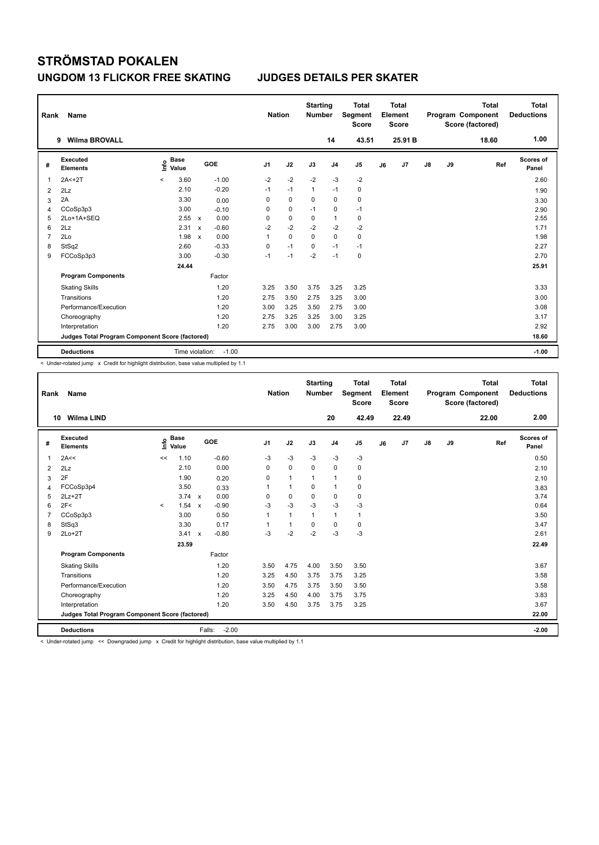| Rank | Name                                            |                                  |                                      | <b>Nation</b>  |             | <b>Starting</b><br><b>Number</b> |                | <b>Total</b><br>Segment<br><b>Score</b> | Element | <b>Total</b><br><b>Score</b> |    |    | <b>Total</b><br>Program Component<br>Score (factored) | Total<br><b>Deductions</b> |
|------|-------------------------------------------------|----------------------------------|--------------------------------------|----------------|-------------|----------------------------------|----------------|-----------------------------------------|---------|------------------------------|----|----|-------------------------------------------------------|----------------------------|
|      | <b>Wilma BROVALL</b><br>9                       |                                  |                                      |                |             |                                  | 14             | 43.51                                   |         | 25.91 B                      |    |    | 18.60                                                 | 1.00                       |
| #    | Executed<br><b>Elements</b>                     | <b>Base</b><br>١nf٥<br>Value     | GOE                                  | J <sub>1</sub> | J2          | J3                               | J <sub>4</sub> | J <sub>5</sub>                          | J6      | J7                           | J8 | J9 | Ref                                                   | Scores of<br>Panel         |
| 1    | $2A < +2T$                                      | 3.60<br>$\overline{\phantom{0}}$ | $-1.00$                              | $-2$           | $-2$        | $-2$                             | $-3$           | $-2$                                    |         |                              |    |    |                                                       | 2.60                       |
| 2    | 2Lz                                             | 2.10                             | $-0.20$                              | $-1$           | $-1$        | $\mathbf{1}$                     | $-1$           | 0                                       |         |                              |    |    |                                                       | 1.90                       |
| 3    | 2A                                              | 3.30                             | 0.00                                 | 0              | 0           | $\Omega$                         | 0              | 0                                       |         |                              |    |    |                                                       | 3.30                       |
| 4    | CCoSp3p3                                        | 3.00                             | $-0.10$                              | 0              | $\mathbf 0$ | $-1$                             | 0              | $-1$                                    |         |                              |    |    |                                                       | 2.90                       |
| 5    | 2Lo+1A+SEQ                                      | 2.55                             | 0.00<br>X                            | 0              | $\mathbf 0$ | $\mathbf 0$                      | $\overline{1}$ | $\pmb{0}$                               |         |                              |    |    |                                                       | 2.55                       |
| 6    | 2Lz                                             | 2.31                             | $-0.60$<br>$\boldsymbol{\mathsf{x}}$ | $-2$           | $-2$        | $-2$                             | $-2$           | $-2$                                    |         |                              |    |    |                                                       | 1.71                       |
| 7    | 2Lo                                             | 1.98                             | 0.00<br>$\boldsymbol{\mathsf{x}}$    | 1              | $\Omega$    | 0                                | $\mathbf 0$    | $\mathbf 0$                             |         |                              |    |    |                                                       | 1.98                       |
| 8    | StSq2                                           | 2.60                             | $-0.33$                              | 0              | $-1$        | $\mathbf 0$                      | $-1$           | $-1$                                    |         |                              |    |    |                                                       | 2.27                       |
| 9    | FCCoSp3p3                                       | 3.00                             | $-0.30$                              | $-1$           | $-1$        | $-2$                             | $-1$           | 0                                       |         |                              |    |    |                                                       | 2.70                       |
|      |                                                 | 24.44                            |                                      |                |             |                                  |                |                                         |         |                              |    |    |                                                       | 25.91                      |
|      | <b>Program Components</b>                       |                                  | Factor                               |                |             |                                  |                |                                         |         |                              |    |    |                                                       |                            |
|      | <b>Skating Skills</b>                           |                                  | 1.20                                 | 3.25           | 3.50        | 3.75                             | 3.25           | 3.25                                    |         |                              |    |    |                                                       | 3.33                       |
|      | Transitions                                     |                                  | 1.20                                 | 2.75           | 3.50        | 2.75                             | 3.25           | 3.00                                    |         |                              |    |    |                                                       | 3.00                       |
|      | Performance/Execution                           |                                  | 1.20                                 | 3.00           | 3.25        | 3.50                             | 2.75           | 3.00                                    |         |                              |    |    |                                                       | 3.08                       |
|      | Choreography                                    |                                  | 1.20                                 | 2.75           | 3.25        | 3.25                             | 3.00           | 3.25                                    |         |                              |    |    |                                                       | 3.17                       |
|      | Interpretation                                  |                                  | 1.20                                 | 2.75           | 3.00        | 3.00                             | 2.75           | 3.00                                    |         |                              |    |    |                                                       | 2.92                       |
|      | Judges Total Program Component Score (factored) |                                  |                                      |                |             |                                  |                |                                         |         |                              |    |    |                                                       | 18.60                      |
|      | <b>Deductions</b>                               | Time violation:                  | $-1.00$                              |                |             |                                  |                |                                         |         |                              |    |    |                                                       | $-1.00$                    |

< Under-rotated jump x Credit for highlight distribution, base value multiplied by 1.1

| Rank           | Name                                            |         |                      |                           |         | <b>Nation</b>  |              | <b>Starting</b><br><b>Number</b> |                | <b>Total</b><br>Segment<br><b>Score</b> |    | <b>Total</b><br>Element<br><b>Score</b> |               |    | <b>Total</b><br>Program Component<br>Score (factored) | <b>Total</b><br><b>Deductions</b> |
|----------------|-------------------------------------------------|---------|----------------------|---------------------------|---------|----------------|--------------|----------------------------------|----------------|-----------------------------------------|----|-----------------------------------------|---------------|----|-------------------------------------------------------|-----------------------------------|
|                | <b>Wilma LIND</b><br>10                         |         |                      |                           |         |                |              |                                  | 20             | 42.49                                   |    | 22.49                                   |               |    | 22.00                                                 | 2.00                              |
| #              | <b>Executed</b><br><b>Elements</b>              | lnfo    | <b>Base</b><br>Value |                           | GOE     | J <sub>1</sub> | J2           | J3                               | J <sub>4</sub> | J <sub>5</sub>                          | J6 | J <sub>7</sub>                          | $\mathsf{J}8$ | J9 | Ref                                                   | <b>Scores of</b><br>Panel         |
| 1              | 2A<<                                            | <<      | 1.10                 |                           | $-0.60$ | -3             | $-3$         | $-3$                             | $-3$           | $-3$                                    |    |                                         |               |    |                                                       | 0.50                              |
| 2              | 2Lz                                             |         | 2.10                 |                           | 0.00    | $\Omega$       | $\mathbf 0$  | $\Omega$                         | $\mathbf 0$    | 0                                       |    |                                         |               |    |                                                       | 2.10                              |
| 3              | 2F                                              |         | 1.90                 |                           | 0.20    | 0              | $\mathbf{1}$ | $\mathbf{1}$                     | $\mathbf{1}$   | 0                                       |    |                                         |               |    |                                                       | 2.10                              |
| $\overline{4}$ | FCCoSp3p4                                       |         | 3.50                 |                           | 0.33    |                | $\mathbf{1}$ | $\mathbf 0$                      | $\mathbf{1}$   | $\mathbf 0$                             |    |                                         |               |    |                                                       | 3.83                              |
| 5              | $2Lz + 2T$                                      |         | $3.74 \times$        |                           | 0.00    | $\Omega$       | $\mathbf 0$  | $\Omega$                         | $\mathbf 0$    | $\mathbf 0$                             |    |                                         |               |    |                                                       | 3.74                              |
| 6              | 2F<                                             | $\prec$ | 1.54                 | $\boldsymbol{\mathsf{x}}$ | $-0.90$ | $-3$           | $-3$         | $-3$                             | $-3$           | $-3$                                    |    |                                         |               |    |                                                       | 0.64                              |
| $\overline{7}$ | CCoSp3p3                                        |         | 3.00                 |                           | 0.50    |                | $\mathbf{1}$ | $\mathbf{1}$                     | $\mathbf{1}$   | $\mathbf{1}$                            |    |                                         |               |    |                                                       | 3.50                              |
| 8              | StSq3                                           |         | 3.30                 |                           | 0.17    |                | $\mathbf{1}$ | $\Omega$                         | $\mathbf 0$    | $\mathbf 0$                             |    |                                         |               |    |                                                       | 3.47                              |
| 9              | $2Lo+2T$                                        |         | 3.41                 | $\mathsf{x}$              | $-0.80$ | -3             | $-2$         | $-2$                             | $-3$           | $-3$                                    |    |                                         |               |    |                                                       | 2.61                              |
|                |                                                 |         | 23.59                |                           |         |                |              |                                  |                |                                         |    |                                         |               |    |                                                       | 22.49                             |
|                | <b>Program Components</b>                       |         |                      |                           | Factor  |                |              |                                  |                |                                         |    |                                         |               |    |                                                       |                                   |
|                | <b>Skating Skills</b>                           |         |                      |                           | 1.20    | 3.50           | 4.75         | 4.00                             | 3.50           | 3.50                                    |    |                                         |               |    |                                                       | 3.67                              |
|                | Transitions                                     |         |                      |                           | 1.20    | 3.25           | 4.50         | 3.75                             | 3.75           | 3.25                                    |    |                                         |               |    |                                                       | 3.58                              |
|                | Performance/Execution                           |         |                      |                           | 1.20    | 3.50           | 4.75         | 3.75                             | 3.50           | 3.50                                    |    |                                         |               |    |                                                       | 3.58                              |
|                | Choreography                                    |         |                      |                           | 1.20    | 3.25           | 4.50         | 4.00                             | 3.75           | 3.75                                    |    |                                         |               |    |                                                       | 3.83                              |
|                | Interpretation                                  |         |                      |                           | 1.20    | 3.50           | 4.50         | 3.75                             | 3.75           | 3.25                                    |    |                                         |               |    |                                                       | 3.67                              |
|                | Judges Total Program Component Score (factored) |         |                      |                           |         |                |              |                                  |                |                                         |    |                                         |               |    |                                                       | 22.00                             |
|                | <b>Deductions</b>                               |         |                      | Falls:                    | $-2.00$ |                |              |                                  |                |                                         |    |                                         |               |    |                                                       | $-2.00$                           |

< Under-rotated jump << Downgraded jump x Credit for highlight distribution, base value multiplied by 1.1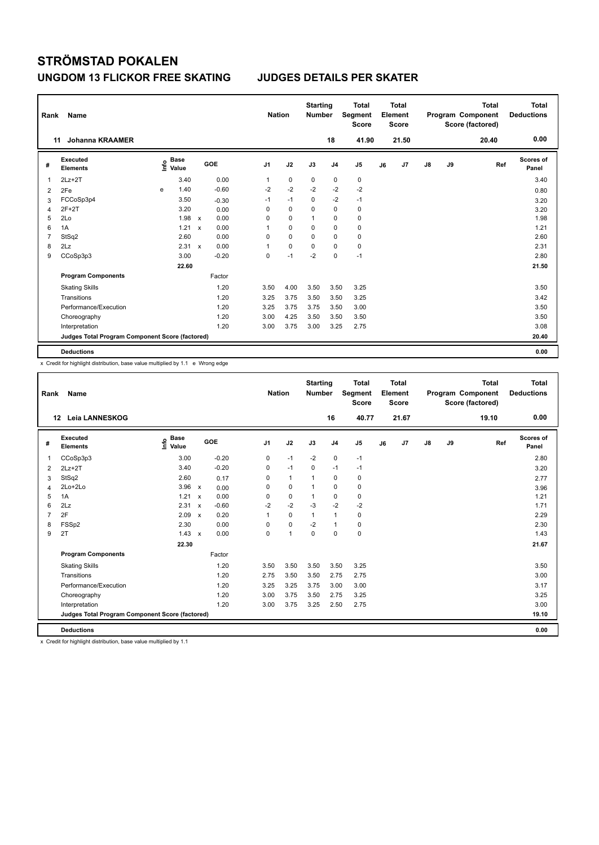| Rank           | Name                                            |   |                                  |                           |         |                | <b>Nation</b> | <b>Starting</b><br><b>Number</b> |                | Total<br>Segment<br><b>Score</b> |    | <b>Total</b><br>Element<br><b>Score</b> |               |    | <b>Total</b><br>Program Component<br>Score (factored) | <b>Total</b><br><b>Deductions</b> |
|----------------|-------------------------------------------------|---|----------------------------------|---------------------------|---------|----------------|---------------|----------------------------------|----------------|----------------------------------|----|-----------------------------------------|---------------|----|-------------------------------------------------------|-----------------------------------|
|                | <b>Johanna KRAAMER</b><br>11                    |   |                                  |                           |         |                |               |                                  | 18             | 41.90                            |    | 21.50                                   |               |    | 20.40                                                 | 0.00                              |
| #              | Executed<br><b>Elements</b>                     |   | <b>Base</b><br>e Base<br>⊆ Value |                           | GOE     | J <sub>1</sub> | J2            | J3                               | J <sub>4</sub> | J5                               | J6 | J7                                      | $\mathsf{J}8$ | J9 | Ref                                                   | Scores of<br>Panel                |
| 1              | $2Lz+2T$                                        |   | 3.40                             |                           | 0.00    | 1              | 0             | 0                                | 0              | 0                                |    |                                         |               |    |                                                       | 3.40                              |
| 2              | 2Fe                                             | e | 1.40                             |                           | $-0.60$ | $-2$           | $-2$          | $-2$                             | $-2$           | $-2$                             |    |                                         |               |    |                                                       | 0.80                              |
| 3              | FCCoSp3p4                                       |   | 3.50                             |                           | $-0.30$ | $-1$           | $-1$          | 0                                | $-2$           | $-1$                             |    |                                         |               |    |                                                       | 3.20                              |
| 4              | $2F+2T$                                         |   | 3.20                             |                           | 0.00    | 0              | $\mathbf 0$   | 0                                | $\mathbf 0$    | 0                                |    |                                         |               |    |                                                       | 3.20                              |
| 5              | 2Lo                                             |   | 1.98                             | $\boldsymbol{\mathsf{x}}$ | 0.00    | 0              | $\mathbf 0$   | 1                                | 0              | $\pmb{0}$                        |    |                                         |               |    |                                                       | 1.98                              |
| 6              | 1A                                              |   | 1.21                             | $\boldsymbol{\mathsf{x}}$ | 0.00    | 1              | 0             | 0                                | $\pmb{0}$      | 0                                |    |                                         |               |    |                                                       | 1.21                              |
| $\overline{7}$ | StSq2                                           |   | 2.60                             |                           | 0.00    | 0              | $\Omega$      | 0                                | 0              | 0                                |    |                                         |               |    |                                                       | 2.60                              |
| 8              | 2Lz                                             |   | 2.31                             | $\boldsymbol{\mathsf{x}}$ | 0.00    | 1              | $\mathbf 0$   | 0                                | 0              | 0                                |    |                                         |               |    |                                                       | 2.31                              |
| 9              | CCoSp3p3                                        |   | 3.00                             |                           | $-0.20$ | 0              | $-1$          | $-2$                             | 0              | $-1$                             |    |                                         |               |    |                                                       | 2.80                              |
|                |                                                 |   | 22.60                            |                           |         |                |               |                                  |                |                                  |    |                                         |               |    |                                                       | 21.50                             |
|                | <b>Program Components</b>                       |   |                                  |                           | Factor  |                |               |                                  |                |                                  |    |                                         |               |    |                                                       |                                   |
|                | <b>Skating Skills</b>                           |   |                                  |                           | 1.20    | 3.50           | 4.00          | 3.50                             | 3.50           | 3.25                             |    |                                         |               |    |                                                       | 3.50                              |
|                | Transitions                                     |   |                                  |                           | 1.20    | 3.25           | 3.75          | 3.50                             | 3.50           | 3.25                             |    |                                         |               |    |                                                       | 3.42                              |
|                | Performance/Execution                           |   |                                  |                           | 1.20    | 3.25           | 3.75          | 3.75                             | 3.50           | 3.00                             |    |                                         |               |    |                                                       | 3.50                              |
|                | Choreography                                    |   |                                  |                           | 1.20    | 3.00           | 4.25          | 3.50                             | 3.50           | 3.50                             |    |                                         |               |    |                                                       | 3.50                              |
|                | Interpretation                                  |   |                                  |                           | 1.20    | 3.00           | 3.75          | 3.00                             | 3.25           | 2.75                             |    |                                         |               |    |                                                       | 3.08                              |
|                | Judges Total Program Component Score (factored) |   |                                  |                           |         |                |               |                                  |                |                                  |    |                                         |               |    |                                                       | 20.40                             |
|                | <b>Deductions</b>                               |   |                                  |                           |         |                |               |                                  |                |                                  |    |                                         |               |    |                                                       | 0.00                              |

x Credit for highlight distribution, base value multiplied by 1.1 e Wrong edge

| Rank           | <b>Name</b>                                     |                                  |                           |         |                | <b>Nation</b>        | <b>Starting</b><br><b>Number</b> |                | <b>Total</b><br>Segment<br><b>Score</b> |    | Total<br>Element<br><b>Score</b> |            |    | <b>Total</b><br>Program Component<br>Score (factored) | <b>Total</b><br><b>Deductions</b> |
|----------------|-------------------------------------------------|----------------------------------|---------------------------|---------|----------------|----------------------|----------------------------------|----------------|-----------------------------------------|----|----------------------------------|------------|----|-------------------------------------------------------|-----------------------------------|
|                | <b>Leia LANNESKOG</b><br>12                     |                                  |                           |         |                |                      |                                  | 16             | 40.77                                   |    | 21.67                            |            |    | 19.10                                                 | 0.00                              |
| #              | Executed<br><b>Elements</b>                     | <b>Base</b><br>e Base<br>⊆ Value |                           | GOE     | J <sub>1</sub> | J2                   | J3                               | J <sub>4</sub> | J <sub>5</sub>                          | J6 | J7                               | ${\sf J8}$ | J9 | Ref                                                   | <b>Scores of</b><br>Panel         |
| $\mathbf{1}$   | CCoSp3p3                                        | 3.00                             |                           | $-0.20$ | 0              | $-1$                 | $-2$                             | $\mathbf 0$    | $-1$                                    |    |                                  |            |    |                                                       | 2.80                              |
| 2              | $2Lz+2T$                                        | 3.40                             |                           | $-0.20$ | 0              | $-1$                 | 0                                | $-1$           | $-1$                                    |    |                                  |            |    |                                                       | 3.20                              |
| 3              | StSq2                                           | 2.60                             |                           | 0.17    | 0              | $\mathbf{1}$         | $\mathbf{1}$                     | $\mathbf 0$    | $\mathbf 0$                             |    |                                  |            |    |                                                       | 2.77                              |
| 4              | 2Lo+2Lo                                         | 3.96                             | $\mathsf{x}$              | 0.00    | 0              | $\mathbf 0$          | $\mathbf{1}$                     | $\mathbf 0$    | $\mathbf 0$                             |    |                                  |            |    |                                                       | 3.96                              |
| 5              | 1A                                              | 1.21                             | $\boldsymbol{\mathsf{x}}$ | 0.00    | 0              | $\mathbf 0$          | $\mathbf{1}$                     | $\mathbf 0$    | 0                                       |    |                                  |            |    |                                                       | 1.21                              |
| 6              | 2Lz                                             | 2.31                             | $\mathbf{x}$              | $-0.60$ | $-2$           | $-2$                 | $-3$                             | $-2$           | $-2$                                    |    |                                  |            |    |                                                       | 1.71                              |
| $\overline{7}$ | 2F                                              | 2.09                             | $\mathbf{x}$              | 0.20    | $\mathbf{1}$   | $\mathbf 0$          | $\mathbf{1}$                     | $\mathbf{1}$   | $\mathbf 0$                             |    |                                  |            |    |                                                       | 2.29                              |
| 8              | FSSp2                                           | 2.30                             |                           | 0.00    | 0              | $\mathbf 0$          | $-2$                             | $\mathbf{1}$   | $\mathbf 0$                             |    |                                  |            |    |                                                       | 2.30                              |
| 9              | 2T                                              | 1.43                             | $\boldsymbol{\mathsf{x}}$ | 0.00    | $\Omega$       | $\blacktriangleleft$ | $\Omega$                         | $\Omega$       | $\mathbf 0$                             |    |                                  |            |    |                                                       | 1.43                              |
|                |                                                 | 22.30                            |                           |         |                |                      |                                  |                |                                         |    |                                  |            |    |                                                       | 21.67                             |
|                | <b>Program Components</b>                       |                                  |                           | Factor  |                |                      |                                  |                |                                         |    |                                  |            |    |                                                       |                                   |
|                | <b>Skating Skills</b>                           |                                  |                           | 1.20    | 3.50           | 3.50                 | 3.50                             | 3.50           | 3.25                                    |    |                                  |            |    |                                                       | 3.50                              |
|                | Transitions                                     |                                  |                           | 1.20    | 2.75           | 3.50                 | 3.50                             | 2.75           | 2.75                                    |    |                                  |            |    |                                                       | 3.00                              |
|                | Performance/Execution                           |                                  |                           | 1.20    | 3.25           | 3.25                 | 3.75                             | 3.00           | 3.00                                    |    |                                  |            |    |                                                       | 3.17                              |
|                | Choreography                                    |                                  |                           | 1.20    | 3.00           | 3.75                 | 3.50                             | 2.75           | 3.25                                    |    |                                  |            |    |                                                       | 3.25                              |
|                | Interpretation                                  |                                  |                           | 1.20    | 3.00           | 3.75                 | 3.25                             | 2.50           | 2.75                                    |    |                                  |            |    |                                                       | 3.00                              |
|                | Judges Total Program Component Score (factored) |                                  |                           |         |                |                      |                                  |                |                                         |    |                                  |            |    |                                                       | 19.10                             |
|                | <b>Deductions</b>                               |                                  |                           |         |                |                      |                                  |                |                                         |    |                                  |            |    |                                                       | 0.00                              |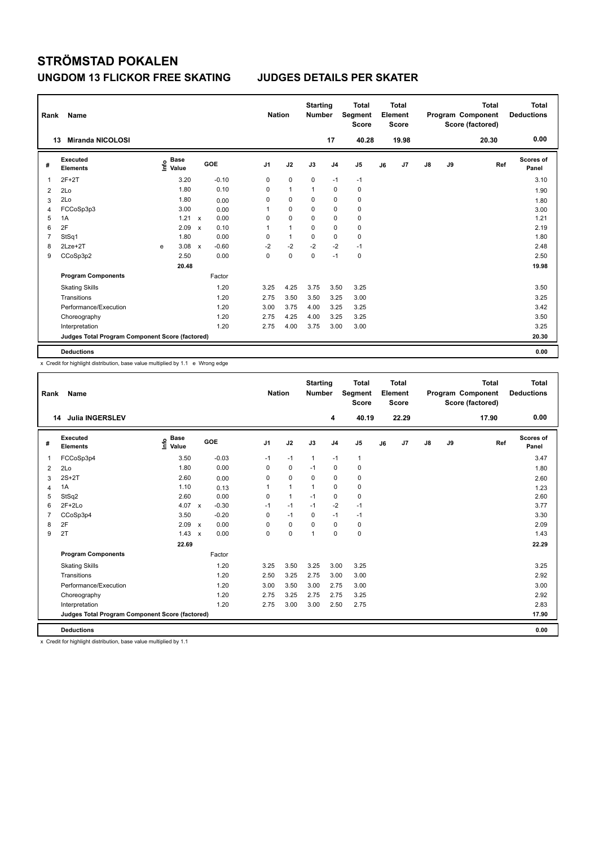| Rank | Name                                            |   |                                  |              |         |                | <b>Nation</b> |              | <b>Starting</b><br><b>Number</b> |                | <b>Total</b><br>Segment<br><b>Score</b> |    | <b>Total</b><br>Element<br><b>Score</b> |    |    | <b>Total</b><br>Program Component<br>Score (factored) | <b>Total</b><br><b>Deductions</b> |
|------|-------------------------------------------------|---|----------------------------------|--------------|---------|----------------|---------------|--------------|----------------------------------|----------------|-----------------------------------------|----|-----------------------------------------|----|----|-------------------------------------------------------|-----------------------------------|
|      | <b>Miranda NICOLOSI</b><br>13                   |   |                                  |              |         |                |               |              |                                  | 17             | 40.28                                   |    | 19.98                                   |    |    | 20.30                                                 | 0.00                              |
| #    | <b>Executed</b><br><b>Elements</b>              |   | <b>Base</b><br>e Base<br>⊆ Value |              | GOE     | J <sub>1</sub> |               | J2           | J3                               | J <sub>4</sub> | J <sub>5</sub>                          | J6 | J7                                      | J8 | J9 | Ref                                                   | <b>Scores of</b><br>Panel         |
| 1    | $2F+2T$                                         |   | 3.20                             |              | $-0.10$ | 0              |               | 0            | 0                                | $-1$           | $-1$                                    |    |                                         |    |    |                                                       | 3.10                              |
| 2    | 2Lo                                             |   | 1.80                             |              | 0.10    | 0              |               | 1            | 1                                | 0              | 0                                       |    |                                         |    |    |                                                       | 1.90                              |
| 3    | 2Lo                                             |   | 1.80                             |              | 0.00    | 0              |               | $\mathbf 0$  | 0                                | 0              | 0                                       |    |                                         |    |    |                                                       | 1.80                              |
| 4    | FCCoSp3p3                                       |   | 3.00                             |              | 0.00    | 1              |               | $\mathbf 0$  | 0                                | 0              | 0                                       |    |                                         |    |    |                                                       | 3.00                              |
| 5    | 1A                                              |   | 1.21 x                           |              | 0.00    | 0              |               | $\mathbf 0$  | $\Omega$                         | 0              | 0                                       |    |                                         |    |    |                                                       | 1.21                              |
| 6    | 2F                                              |   | 2.09                             | $\mathsf{x}$ | 0.10    | 1              |               | $\mathbf{1}$ | $\mathbf 0$                      | $\mathbf 0$    | $\pmb{0}$                               |    |                                         |    |    |                                                       | 2.19                              |
| 7    | StSq1                                           |   | 1.80                             |              | 0.00    | 0              |               | $\mathbf{1}$ | 0                                | 0              | 0                                       |    |                                         |    |    |                                                       | 1.80                              |
| 8    | $2Lze+2T$                                       | e | 3.08                             | $\mathsf{x}$ | $-0.60$ | $-2$           |               | $-2$         | $-2$                             | $-2$           | $-1$                                    |    |                                         |    |    |                                                       | 2.48                              |
| 9    | CCoSp3p2                                        |   | 2.50                             |              | 0.00    | 0              |               | $\mathbf 0$  | $\mathbf 0$                      | $-1$           | $\pmb{0}$                               |    |                                         |    |    |                                                       | 2.50                              |
|      |                                                 |   | 20.48                            |              |         |                |               |              |                                  |                |                                         |    |                                         |    |    |                                                       | 19.98                             |
|      | <b>Program Components</b>                       |   |                                  |              | Factor  |                |               |              |                                  |                |                                         |    |                                         |    |    |                                                       |                                   |
|      | <b>Skating Skills</b>                           |   |                                  |              | 1.20    | 3.25           |               | 4.25         | 3.75                             | 3.50           | 3.25                                    |    |                                         |    |    |                                                       | 3.50                              |
|      | Transitions                                     |   |                                  |              | 1.20    | 2.75           |               | 3.50         | 3.50                             | 3.25           | 3.00                                    |    |                                         |    |    |                                                       | 3.25                              |
|      | Performance/Execution                           |   |                                  |              | 1.20    | 3.00           |               | 3.75         | 4.00                             | 3.25           | 3.25                                    |    |                                         |    |    |                                                       | 3.42                              |
|      | Choreography                                    |   |                                  |              | 1.20    | 2.75           |               | 4.25         | 4.00                             | 3.25           | 3.25                                    |    |                                         |    |    |                                                       | 3.50                              |
|      | Interpretation                                  |   |                                  |              | 1.20    | 2.75           |               | 4.00         | 3.75                             | 3.00           | 3.00                                    |    |                                         |    |    |                                                       | 3.25                              |
|      | Judges Total Program Component Score (factored) |   |                                  |              |         |                |               |              |                                  |                |                                         |    |                                         |    |    |                                                       | 20.30                             |
|      | <b>Deductions</b>                               |   |                                  |              |         |                |               |              |                                  |                |                                         |    |                                         |    |    |                                                       | 0.00                              |

x Credit for highlight distribution, base value multiplied by 1.1 e Wrong edge

| Rank           | Name                                            |                              |                           |         |                | <b>Nation</b> |              | <b>Starting</b><br><b>Number</b> |                | <b>Total</b><br>Segment<br><b>Score</b> |    | <b>Total</b><br>Element<br><b>Score</b> |               |    | <b>Total</b><br>Program Component<br>Score (factored) | <b>Total</b><br><b>Deductions</b> |
|----------------|-------------------------------------------------|------------------------------|---------------------------|---------|----------------|---------------|--------------|----------------------------------|----------------|-----------------------------------------|----|-----------------------------------------|---------------|----|-------------------------------------------------------|-----------------------------------|
|                | <b>Julia INGERSLEV</b><br>14                    |                              |                           |         |                |               |              |                                  | 4              | 40.19                                   |    | 22.29                                   |               |    | 17.90                                                 | 0.00                              |
| #              | Executed<br><b>Elements</b>                     | <b>Base</b><br>١nfo<br>Value |                           | GOE     | J <sub>1</sub> |               | J2           | J3                               | J <sub>4</sub> | J <sub>5</sub>                          | J6 | J7                                      | $\mathsf{J}8$ | J9 | Ref                                                   | <b>Scores of</b><br>Panel         |
| 1              | FCCoSp3p4                                       | 3.50                         |                           | $-0.03$ |                | $-1$          | $-1$         | $\mathbf{1}$                     | $-1$           | $\mathbf{1}$                            |    |                                         |               |    |                                                       | 3.47                              |
| $\overline{2}$ | 2Lo                                             | 1.80                         |                           | 0.00    |                | 0             | 0            | $-1$                             | $\mathbf 0$    | 0                                       |    |                                         |               |    |                                                       | 1.80                              |
| 3              | $2S+2T$                                         | 2.60                         |                           | 0.00    |                | 0             | $\mathbf 0$  | 0                                | $\mathbf 0$    | 0                                       |    |                                         |               |    |                                                       | 2.60                              |
| 4              | 1A                                              | 1.10                         |                           | 0.13    | 1              |               | $\mathbf{1}$ | 1                                | $\mathbf 0$    | $\mathbf 0$                             |    |                                         |               |    |                                                       | 1.23                              |
| 5              | StSq2                                           | 2.60                         |                           | 0.00    |                | $\Omega$      | $\mathbf{1}$ | $-1$                             | $\mathbf 0$    | $\mathbf 0$                             |    |                                         |               |    |                                                       | 2.60                              |
| 6              | $2F+2Lo$                                        | 4.07                         | $\mathsf{x}$              | $-0.30$ | $-1$           |               | $-1$         | $-1$                             | $-2$           | $-1$                                    |    |                                         |               |    |                                                       | 3.77                              |
| $\overline{7}$ | CCoSp3p4                                        | 3.50                         |                           | $-0.20$ |                | 0             | $-1$         | 0                                | $-1$           | $-1$                                    |    |                                         |               |    |                                                       | 3.30                              |
| 8              | 2F                                              | 2.09                         | $\boldsymbol{\mathsf{x}}$ | 0.00    |                | 0             | $\mathbf 0$  | 0                                | $\mathbf 0$    | 0                                       |    |                                         |               |    |                                                       | 2.09                              |
| 9              | 2T                                              | 1.43                         | $\boldsymbol{\mathsf{x}}$ | 0.00    |                | 0             | $\mathbf 0$  | $\overline{1}$                   | $\Omega$       | $\mathbf 0$                             |    |                                         |               |    |                                                       | 1.43                              |
|                |                                                 | 22.69                        |                           |         |                |               |              |                                  |                |                                         |    |                                         |               |    |                                                       | 22.29                             |
|                | <b>Program Components</b>                       |                              |                           | Factor  |                |               |              |                                  |                |                                         |    |                                         |               |    |                                                       |                                   |
|                | <b>Skating Skills</b>                           |                              |                           | 1.20    |                | 3.25          | 3.50         | 3.25                             | 3.00           | 3.25                                    |    |                                         |               |    |                                                       | 3.25                              |
|                | Transitions                                     |                              |                           | 1.20    |                | 2.50          | 3.25         | 2.75                             | 3.00           | 3.00                                    |    |                                         |               |    |                                                       | 2.92                              |
|                | Performance/Execution                           |                              |                           | 1.20    |                | 3.00          | 3.50         | 3.00                             | 2.75           | 3.00                                    |    |                                         |               |    |                                                       | 3.00                              |
|                | Choreography                                    |                              |                           | 1.20    |                | 2.75          | 3.25         | 2.75                             | 2.75           | 3.25                                    |    |                                         |               |    |                                                       | 2.92                              |
|                | Interpretation                                  |                              |                           | 1.20    |                | 2.75          | 3.00         | 3.00                             | 2.50           | 2.75                                    |    |                                         |               |    |                                                       | 2.83                              |
|                | Judges Total Program Component Score (factored) |                              |                           |         |                |               |              |                                  |                |                                         |    |                                         |               |    |                                                       | 17.90                             |
|                | <b>Deductions</b>                               |                              |                           |         |                |               |              |                                  |                |                                         |    |                                         |               |    |                                                       | 0.00                              |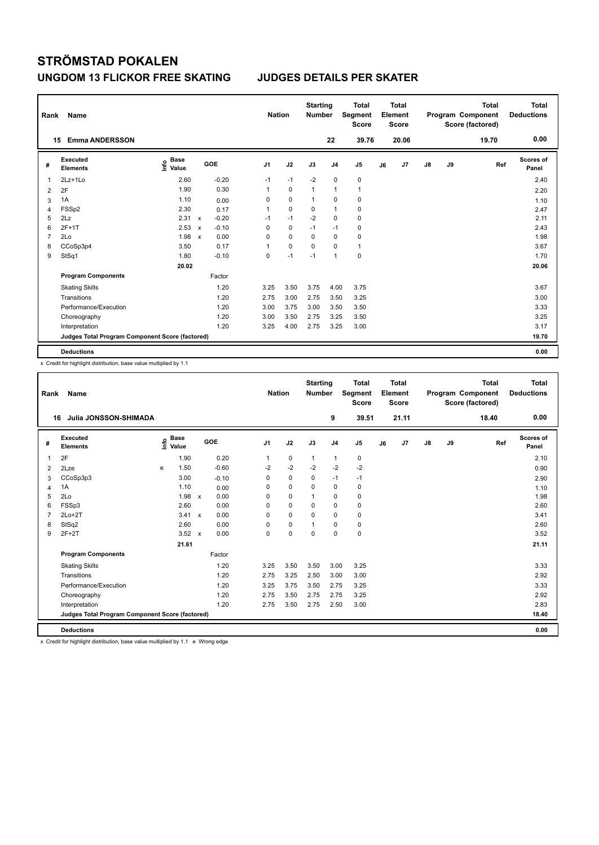| Rank | Name                                            |                                  |              |         |                | <b>Nation</b> | <b>Starting</b><br>Number |                | <b>Total</b><br>Segment<br><b>Score</b> |    | <b>Total</b><br>Element<br><b>Score</b> |    |    | <b>Total</b><br>Program Component<br>Score (factored) | <b>Total</b><br><b>Deductions</b> |
|------|-------------------------------------------------|----------------------------------|--------------|---------|----------------|---------------|---------------------------|----------------|-----------------------------------------|----|-----------------------------------------|----|----|-------------------------------------------------------|-----------------------------------|
|      | <b>Emma ANDERSSON</b><br>15                     |                                  |              |         |                |               |                           | 22             | 39.76                                   |    | 20.06                                   |    |    | 19.70                                                 | 0.00                              |
| #    | <b>Executed</b><br><b>Elements</b>              | <b>Base</b><br>e Base<br>⊆ Value |              | GOE     | J <sub>1</sub> | J2            | J3                        | J <sub>4</sub> | J <sub>5</sub>                          | J6 | J7                                      | J8 | J9 | Ref                                                   | <b>Scores of</b><br>Panel         |
| 1    | 2Lz+1Lo                                         | 2.60                             |              | $-0.20$ | $-1$           | $-1$          | $-2$                      | $\mathbf 0$    | $\pmb{0}$                               |    |                                         |    |    |                                                       | 2.40                              |
| 2    | 2F                                              | 1.90                             |              | 0.30    | 1              | $\mathbf 0$   | $\mathbf{1}$              | $\mathbf{1}$   | $\mathbf{1}$                            |    |                                         |    |    |                                                       | 2.20                              |
| 3    | 1A                                              | 1.10                             |              | 0.00    | 0              | $\pmb{0}$     | 1                         | 0              | $\pmb{0}$                               |    |                                         |    |    |                                                       | 1.10                              |
| 4    | FSSp2                                           | 2.30                             |              | 0.17    | 1              | $\mathbf 0$   | 0                         | $\mathbf{1}$   | 0                                       |    |                                         |    |    |                                                       | 2.47                              |
| 5    | 2Lz                                             | 2.31 x                           |              | $-0.20$ | $-1$           | $-1$          | $-2$                      | $\mathbf 0$    | 0                                       |    |                                         |    |    |                                                       | 2.11                              |
| 6    | $2F+1T$                                         | 2.53                             | $\mathsf{x}$ | $-0.10$ | 0              | $\mathbf 0$   | $-1$                      | $-1$           | $\pmb{0}$                               |    |                                         |    |    |                                                       | 2.43                              |
| 7    | 2Lo                                             | 1.98                             | $\mathsf{x}$ | 0.00    | 0              | 0             | 0                         | 0              | 0                                       |    |                                         |    |    |                                                       | 1.98                              |
| 8    | CCoSp3p4                                        | 3.50                             |              | 0.17    | 1              | $\mathbf 0$   | 0                         | 0              | $\mathbf{1}$                            |    |                                         |    |    |                                                       | 3.67                              |
| 9    | StSq1                                           | 1.80                             |              | $-0.10$ | 0              | $-1$          | $-1$                      | $\overline{1}$ | 0                                       |    |                                         |    |    |                                                       | 1.70                              |
|      |                                                 | 20.02                            |              |         |                |               |                           |                |                                         |    |                                         |    |    |                                                       | 20.06                             |
|      | <b>Program Components</b>                       |                                  |              | Factor  |                |               |                           |                |                                         |    |                                         |    |    |                                                       |                                   |
|      | <b>Skating Skills</b>                           |                                  |              | 1.20    | 3.25           | 3.50          | 3.75                      | 4.00           | 3.75                                    |    |                                         |    |    |                                                       | 3.67                              |
|      | Transitions                                     |                                  |              | 1.20    | 2.75           | 3.00          | 2.75                      | 3.50           | 3.25                                    |    |                                         |    |    |                                                       | 3.00                              |
|      | Performance/Execution                           |                                  |              | 1.20    | 3.00           | 3.75          | 3.00                      | 3.50           | 3.50                                    |    |                                         |    |    |                                                       | 3.33                              |
|      | Choreography                                    |                                  |              | 1.20    | 3.00           | 3.50          | 2.75                      | 3.25           | 3.50                                    |    |                                         |    |    |                                                       | 3.25                              |
|      | Interpretation                                  |                                  |              | 1.20    | 3.25           | 4.00          | 2.75                      | 3.25           | 3.00                                    |    |                                         |    |    |                                                       | 3.17                              |
|      | Judges Total Program Component Score (factored) |                                  |              |         |                |               |                           |                |                                         |    |                                         |    |    |                                                       | 19.70                             |
|      | <b>Deductions</b>                               |                                  |              |         |                |               |                           |                |                                         |    |                                         |    |    |                                                       | 0.00                              |

x Credit for highlight distribution, base value multiplied by 1.1

| Rank           | Name                                            |      |                      |              |         |                | <b>Nation</b> | <b>Starting</b><br><b>Number</b> |                | <b>Total</b><br>Segment<br><b>Score</b> |    | Total<br>Element<br><b>Score</b> |               |    | <b>Total</b><br>Program Component<br>Score (factored) | Total<br><b>Deductions</b> |
|----------------|-------------------------------------------------|------|----------------------|--------------|---------|----------------|---------------|----------------------------------|----------------|-----------------------------------------|----|----------------------------------|---------------|----|-------------------------------------------------------|----------------------------|
| 16             | Julia JONSSON-SHIMADA                           |      |                      |              |         |                |               |                                  | 9              | 39.51                                   |    | 21.11                            |               |    | 18.40                                                 | 0.00                       |
| #              | Executed<br><b>Elements</b>                     | ١nf٥ | <b>Base</b><br>Value |              | GOE     | J <sub>1</sub> | J2            | J3                               | J <sub>4</sub> | J <sub>5</sub>                          | J6 | J7                               | $\mathsf{J}8$ | J9 | Ref                                                   | <b>Scores of</b><br>Panel  |
| 1              | 2F                                              |      | 1.90                 |              | 0.20    | 1              | $\mathbf 0$   | $\mathbf{1}$                     | 1              | 0                                       |    |                                  |               |    |                                                       | 2.10                       |
| 2              | 2Lze                                            | e    | 1.50                 |              | $-0.60$ | $-2$           | $-2$          | $-2$                             | $-2$           | $-2$                                    |    |                                  |               |    |                                                       | 0.90                       |
| 3              | CCoSp3p3                                        |      | 3.00                 |              | $-0.10$ | $\mathbf 0$    | $\mathbf 0$   | $\mathbf 0$                      | $-1$           | $-1$                                    |    |                                  |               |    |                                                       | 2.90                       |
| 4              | 1A                                              |      | 1.10                 |              | 0.00    | 0              | $\mathbf 0$   | $\Omega$                         | $\mathbf 0$    | 0                                       |    |                                  |               |    |                                                       | 1.10                       |
| 5              | 2Lo                                             |      | 1.98                 | $\mathbf{x}$ | 0.00    | 0              | $\mathbf 0$   |                                  | $\mathbf 0$    | $\mathbf 0$                             |    |                                  |               |    |                                                       | 1.98                       |
| 6              | FSSp3                                           |      | 2.60                 |              | 0.00    | $\Omega$       | $\Omega$      | $\Omega$                         | $\mathbf 0$    | 0                                       |    |                                  |               |    |                                                       | 2.60                       |
| $\overline{7}$ | $2Lo+2T$                                        |      | 3.41                 | $\mathbf{x}$ | 0.00    | $\Omega$       | $\Omega$      | $\Omega$                         | $\Omega$       | $\mathbf 0$                             |    |                                  |               |    |                                                       | 3.41                       |
| 8              | StSq2                                           |      | 2.60                 |              | 0.00    | $\mathbf 0$    | $\mathbf 0$   | $\mathbf{1}$                     | $\mathbf 0$    | $\mathbf 0$                             |    |                                  |               |    |                                                       | 2.60                       |
| 9              | $2F+2T$                                         |      | $3.52 \times$        |              | 0.00    | 0              | $\mathbf 0$   | $\mathbf 0$                      | $\mathbf 0$    | $\mathbf 0$                             |    |                                  |               |    |                                                       | 3.52                       |
|                |                                                 |      | 21.61                |              |         |                |               |                                  |                |                                         |    |                                  |               |    |                                                       | 21.11                      |
|                | <b>Program Components</b>                       |      |                      |              | Factor  |                |               |                                  |                |                                         |    |                                  |               |    |                                                       |                            |
|                | <b>Skating Skills</b>                           |      |                      |              | 1.20    | 3.25           | 3.50          | 3.50                             | 3.00           | 3.25                                    |    |                                  |               |    |                                                       | 3.33                       |
|                | Transitions                                     |      |                      |              | 1.20    | 2.75           | 3.25          | 2.50                             | 3.00           | 3.00                                    |    |                                  |               |    |                                                       | 2.92                       |
|                | Performance/Execution                           |      |                      |              | 1.20    | 3.25           | 3.75          | 3.50                             | 2.75           | 3.25                                    |    |                                  |               |    |                                                       | 3.33                       |
|                | Choreography                                    |      |                      |              | 1.20    | 2.75           | 3.50          | 2.75                             | 2.75           | 3.25                                    |    |                                  |               |    |                                                       | 2.92                       |
|                | Interpretation                                  |      |                      |              | 1.20    | 2.75           | 3.50          | 2.75                             | 2.50           | 3.00                                    |    |                                  |               |    |                                                       | 2.83                       |
|                | Judges Total Program Component Score (factored) |      |                      |              |         |                |               |                                  |                |                                         |    |                                  |               |    |                                                       | 18.40                      |
|                | <b>Deductions</b>                               |      |                      |              |         |                |               |                                  |                |                                         |    |                                  |               |    |                                                       | 0.00                       |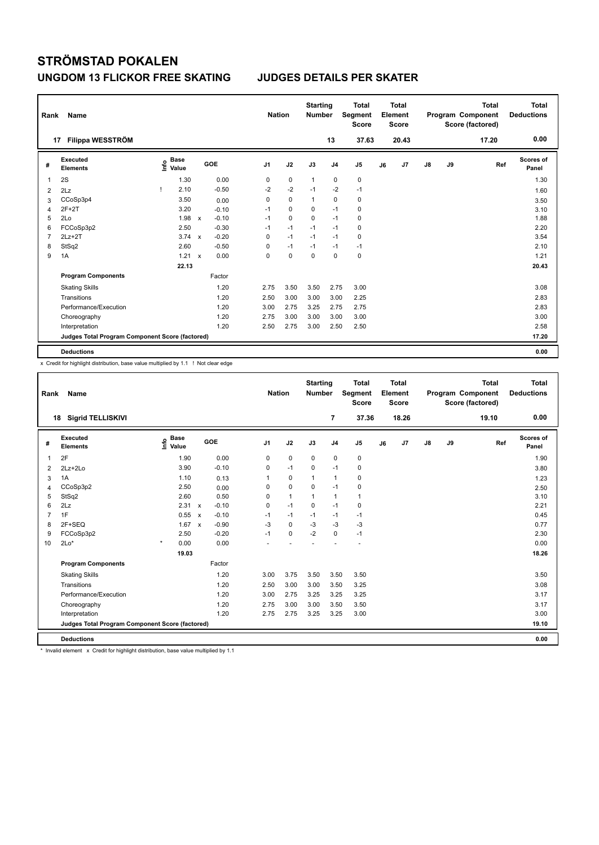| Rank           | Name                                            |                                  |              |         |                | <b>Nation</b> |             | <b>Starting</b><br><b>Number</b> |                | <b>Total</b><br>Segment<br><b>Score</b> |    | <b>Total</b><br>Element<br><b>Score</b> |               |    | <b>Total</b><br>Program Component<br>Score (factored) | <b>Total</b><br><b>Deductions</b> |
|----------------|-------------------------------------------------|----------------------------------|--------------|---------|----------------|---------------|-------------|----------------------------------|----------------|-----------------------------------------|----|-----------------------------------------|---------------|----|-------------------------------------------------------|-----------------------------------|
| 17             | Filippa WESSTRÖM                                |                                  |              |         |                |               |             |                                  | 13             | 37.63                                   |    | 20.43                                   |               |    | 17.20                                                 | 0.00                              |
| #              | Executed<br><b>Elements</b>                     | <b>Base</b><br>e Base<br>⊆ Value |              | GOE     | J <sub>1</sub> |               | J2          | J3                               | J <sub>4</sub> | J <sub>5</sub>                          | J6 | J7                                      | $\mathsf{J}8$ | J9 | Ref                                                   | Scores of<br>Panel                |
| 1              | 2S                                              | 1.30                             |              | 0.00    | 0              |               | $\mathbf 0$ | $\mathbf{1}$                     | 0              | 0                                       |    |                                         |               |    |                                                       | 1.30                              |
| 2              | 2Lz                                             | 2.10                             |              | $-0.50$ | $-2$           |               | $-2$        | $-1$                             | $-2$           | $-1$                                    |    |                                         |               |    |                                                       | 1.60                              |
| 3              | CCoSp3p4                                        | 3.50                             |              | 0.00    | 0              |               | 0           | 1                                | 0              | 0                                       |    |                                         |               |    |                                                       | 3.50                              |
| 4              | $2F+2T$                                         | 3.20                             |              | $-0.10$ | $-1$           |               | $\mathbf 0$ | 0                                | $-1$           | 0                                       |    |                                         |               |    |                                                       | 3.10                              |
| 5              | 2Lo                                             | 1.98                             | $\mathsf{x}$ | $-0.10$ | $-1$           |               | $\mathbf 0$ | $\Omega$                         | $-1$           | 0                                       |    |                                         |               |    |                                                       | 1.88                              |
| 6              | FCCoSp3p2                                       | 2.50                             |              | $-0.30$ | $-1$           |               | $-1$        | $-1$                             | $-1$           | $\pmb{0}$                               |    |                                         |               |    |                                                       | 2.20                              |
| $\overline{7}$ | $2Lz+2T$                                        | 3.74                             | $\mathsf{x}$ | $-0.20$ | 0              |               | $-1$        | $-1$                             | $-1$           | 0                                       |    |                                         |               |    |                                                       | 3.54                              |
| 8              | StSq2                                           | 2.60                             |              | $-0.50$ | 0              |               | $-1$        | $-1$                             | $-1$           | $-1$                                    |    |                                         |               |    |                                                       | 2.10                              |
| 9              | 1A                                              | 1.21                             | $\mathsf{x}$ | 0.00    | 0              |               | $\mathbf 0$ | 0                                | 0              | $\mathbf 0$                             |    |                                         |               |    |                                                       | 1.21                              |
|                |                                                 | 22.13                            |              |         |                |               |             |                                  |                |                                         |    |                                         |               |    |                                                       | 20.43                             |
|                | <b>Program Components</b>                       |                                  |              | Factor  |                |               |             |                                  |                |                                         |    |                                         |               |    |                                                       |                                   |
|                | <b>Skating Skills</b>                           |                                  |              | 1.20    | 2.75           |               | 3.50        | 3.50                             | 2.75           | 3.00                                    |    |                                         |               |    |                                                       | 3.08                              |
|                | Transitions                                     |                                  |              | 1.20    | 2.50           |               | 3.00        | 3.00                             | 3.00           | 2.25                                    |    |                                         |               |    |                                                       | 2.83                              |
|                | Performance/Execution                           |                                  |              | 1.20    | 3.00           |               | 2.75        | 3.25                             | 2.75           | 2.75                                    |    |                                         |               |    |                                                       | 2.83                              |
|                | Choreography                                    |                                  |              | 1.20    | 2.75           |               | 3.00        | 3.00                             | 3.00           | 3.00                                    |    |                                         |               |    |                                                       | 3.00                              |
|                | Interpretation                                  |                                  |              | 1.20    | 2.50           |               | 2.75        | 3.00                             | 2.50           | 2.50                                    |    |                                         |               |    |                                                       | 2.58                              |
|                | Judges Total Program Component Score (factored) |                                  |              |         |                |               |             |                                  |                |                                         |    |                                         |               |    |                                                       | 17.20                             |
|                | <b>Deductions</b>                               |                                  |              |         |                |               |             |                                  |                |                                         |    |                                         |               |    |                                                       | 0.00                              |

x Credit for highlight distribution, base value multiplied by 1.1 ! Not clear edge

| Rank           | <b>Name</b>                                     |                              |                                      |                        | <b>Nation</b> | <b>Starting</b><br><b>Number</b> |                | <b>Total</b><br>Segment<br><b>Score</b> |    | <b>Total</b><br>Element<br><b>Score</b> |               |    | <b>Total</b><br>Program Component<br>Score (factored) | <b>Total</b><br><b>Deductions</b> |
|----------------|-------------------------------------------------|------------------------------|--------------------------------------|------------------------|---------------|----------------------------------|----------------|-----------------------------------------|----|-----------------------------------------|---------------|----|-------------------------------------------------------|-----------------------------------|
|                | <b>Sigrid TELLISKIVI</b><br>18                  |                              |                                      |                        |               |                                  | 7              | 37.36                                   |    | 18.26                                   |               |    | 19.10                                                 | 0.00                              |
| #              | <b>Executed</b><br><b>Elements</b>              | <b>Base</b><br>١nf٥<br>Value | GOE                                  | J <sub>1</sub>         | J2            | J3                               | J <sub>4</sub> | J <sub>5</sub>                          | J6 | J7                                      | $\mathsf{J}8$ | J9 | Ref                                                   | <b>Scores of</b><br>Panel         |
| $\overline{1}$ | 2F                                              | 1.90                         |                                      | 0.00<br>$\Omega$       | $\mathbf 0$   | $\Omega$                         | $\mathbf 0$    | $\mathbf 0$                             |    |                                         |               |    |                                                       | 1.90                              |
| 2              | $2Lz+2Lo$                                       | 3.90                         |                                      | $-0.10$<br>$\mathbf 0$ | $-1$          | $\mathbf 0$                      | $-1$           | 0                                       |    |                                         |               |    |                                                       | 3.80                              |
| 3              | 1A                                              | 1.10                         |                                      | 1<br>0.13              | $\mathbf 0$   | $\mathbf{1}$                     | $\mathbf{1}$   | 0                                       |    |                                         |               |    |                                                       | 1.23                              |
| 4              | CCoSp3p2                                        | 2.50                         |                                      | 0<br>0.00              | $\mathbf 0$   | $\mathbf 0$                      | $-1$           | 0                                       |    |                                         |               |    |                                                       | 2.50                              |
| 5              | StSq2                                           | 2.60                         |                                      | 0.50<br>0              | $\mathbf{1}$  | $\mathbf{1}$                     | $\mathbf{1}$   | 1                                       |    |                                         |               |    |                                                       | 3.10                              |
| 6              | 2Lz                                             | 2.31                         | $-0.10$<br>$\mathbf{x}$              | $\mathbf 0$            | $-1$          | $\mathbf 0$                      | $-1$           | $\mathbf 0$                             |    |                                         |               |    |                                                       | 2.21                              |
| $\overline{7}$ | 1F                                              | 0.55                         | $\boldsymbol{\mathsf{x}}$            | $-0.10$<br>$-1$        | $-1$          | $-1$                             | $-1$           | $-1$                                    |    |                                         |               |    |                                                       | 0.45                              |
| 8              | 2F+SEQ                                          | 1.67                         | $-0.90$<br>$\boldsymbol{\mathsf{x}}$ | $-3$                   | $\mathbf 0$   | $-3$                             | $-3$           | $-3$                                    |    |                                         |               |    |                                                       | 0.77                              |
| 9              | FCCoSp3p2                                       | 2.50                         |                                      | $-0.20$<br>$-1$        | $\mathbf 0$   | $-2$                             | $\mathbf 0$    | $-1$                                    |    |                                         |               |    |                                                       | 2.30                              |
| 10             | $2Lo*$                                          | $\star$<br>0.00              |                                      | 0.00                   |               |                                  |                |                                         |    |                                         |               |    |                                                       | 0.00                              |
|                |                                                 | 19.03                        |                                      |                        |               |                                  |                |                                         |    |                                         |               |    |                                                       | 18.26                             |
|                | <b>Program Components</b>                       |                              | Factor                               |                        |               |                                  |                |                                         |    |                                         |               |    |                                                       |                                   |
|                | <b>Skating Skills</b>                           |                              |                                      | 1.20<br>3.00           | 3.75          | 3.50                             | 3.50           | 3.50                                    |    |                                         |               |    |                                                       | 3.50                              |
|                | Transitions                                     |                              |                                      | 1.20<br>2.50           | 3.00          | 3.00                             | 3.50           | 3.25                                    |    |                                         |               |    |                                                       | 3.08                              |
|                | Performance/Execution                           |                              |                                      | 1.20<br>3.00           | 2.75          | 3.25                             | 3.25           | 3.25                                    |    |                                         |               |    |                                                       | 3.17                              |
|                | Choreography                                    |                              |                                      | 1.20<br>2.75           | 3.00          | 3.00                             | 3.50           | 3.50                                    |    |                                         |               |    |                                                       | 3.17                              |
|                | Interpretation                                  |                              |                                      | 1.20<br>2.75           | 2.75          | 3.25                             | 3.25           | 3.00                                    |    |                                         |               |    |                                                       | 3.00                              |
|                | Judges Total Program Component Score (factored) |                              |                                      |                        |               |                                  |                |                                         |    |                                         |               |    |                                                       | 19.10                             |
|                | <b>Deductions</b>                               |                              |                                      |                        |               |                                  |                |                                         |    |                                         |               |    |                                                       | 0.00                              |

\* Invalid element x Credit for highlight distribution, base value multiplied by 1.1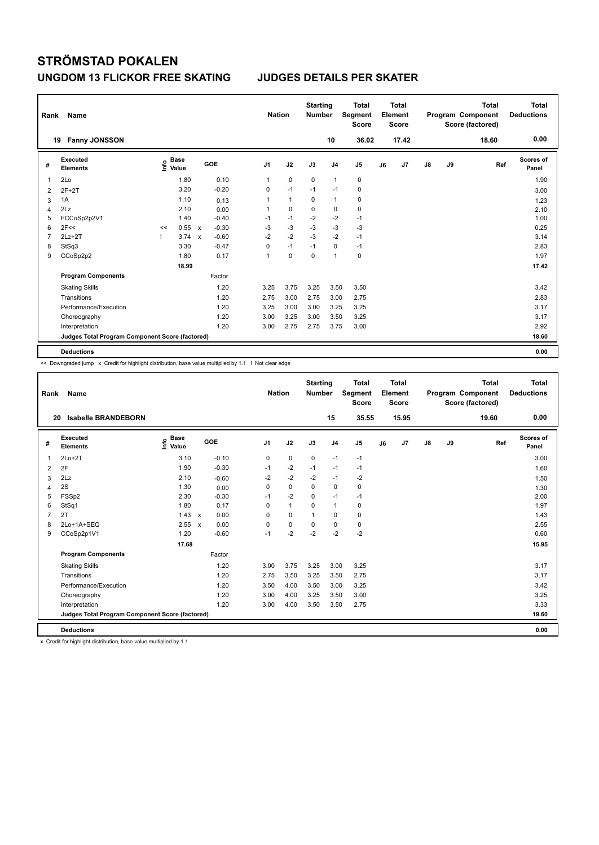| Rank           | Name                                            |    |                                  |              |         | <b>Nation</b>  |              | <b>Starting</b><br><b>Number</b> |                | <b>Total</b><br>Segment<br><b>Score</b> |    | Total<br>Element<br><b>Score</b> |               |    | <b>Total</b><br>Program Component<br>Score (factored) | <b>Total</b><br><b>Deductions</b> |
|----------------|-------------------------------------------------|----|----------------------------------|--------------|---------|----------------|--------------|----------------------------------|----------------|-----------------------------------------|----|----------------------------------|---------------|----|-------------------------------------------------------|-----------------------------------|
|                | <b>Fanny JONSSON</b><br>19                      |    |                                  |              |         |                |              |                                  | 10             | 36.02                                   |    | 17.42                            |               |    | 18.60                                                 | 0.00                              |
| #              | <b>Executed</b><br><b>Elements</b>              |    | <b>Base</b><br>e Base<br>⊆ Value |              | GOE     | J <sub>1</sub> | J2           | J3                               | J <sub>4</sub> | J <sub>5</sub>                          | J6 | J7                               | $\mathsf{J}8$ | J9 | Ref                                                   | Scores of<br>Panel                |
| 1              | 2Lo                                             |    | 1.80                             |              | 0.10    | 1              | 0            | $\mathbf 0$                      | $\mathbf{1}$   | 0                                       |    |                                  |               |    |                                                       | 1.90                              |
| 2              | $2F+2T$                                         |    | 3.20                             |              | $-0.20$ | 0              | $-1$         | $-1$                             | $-1$           | 0                                       |    |                                  |               |    |                                                       | 3.00                              |
| 3              | 1A                                              |    | 1.10                             |              | 0.13    | 1              | $\mathbf{1}$ | 0                                | $\mathbf{1}$   | 0                                       |    |                                  |               |    |                                                       | 1.23                              |
| $\overline{4}$ | 2Lz                                             |    | 2.10                             |              | 0.00    | 1              | $\mathbf 0$  | $\mathbf 0$                      | 0              | $\pmb{0}$                               |    |                                  |               |    |                                                       | 2.10                              |
| 5              | FCCoSp2p2V1                                     |    | 1.40                             |              | $-0.40$ | $-1$           | $-1$         | $-2$                             | $-2$           | $-1$                                    |    |                                  |               |    |                                                       | 1.00                              |
| 6              | 2F<<                                            | << | 0.55                             | $\mathsf{x}$ | $-0.30$ | $-3$           | $-3$         | $-3$                             | $-3$           | $-3$                                    |    |                                  |               |    |                                                       | 0.25                              |
| 7              | $2Lz+2T$                                        |    | 3.74                             | $\mathsf{x}$ | $-0.60$ | $-2$           | $-2$         | $-3$                             | $-2$           | $-1$                                    |    |                                  |               |    |                                                       | 3.14                              |
| 8              | StSq3                                           |    | 3.30                             |              | $-0.47$ | 0              | $-1$         | $-1$                             | 0              | $-1$                                    |    |                                  |               |    |                                                       | 2.83                              |
| 9              | CCoSp2p2                                        |    | 1.80                             |              | 0.17    | 1              | $\mathbf 0$  | 0                                | 1              | 0                                       |    |                                  |               |    |                                                       | 1.97                              |
|                |                                                 |    | 18.99                            |              |         |                |              |                                  |                |                                         |    |                                  |               |    |                                                       | 17.42                             |
|                | <b>Program Components</b>                       |    |                                  |              | Factor  |                |              |                                  |                |                                         |    |                                  |               |    |                                                       |                                   |
|                | <b>Skating Skills</b>                           |    |                                  |              | 1.20    | 3.25           | 3.75         | 3.25                             | 3.50           | 3.50                                    |    |                                  |               |    |                                                       | 3.42                              |
|                | Transitions                                     |    |                                  |              | 1.20    | 2.75           | 3.00         | 2.75                             | 3.00           | 2.75                                    |    |                                  |               |    |                                                       | 2.83                              |
|                | Performance/Execution                           |    |                                  |              | 1.20    | 3.25           | 3.00         | 3.00                             | 3.25           | 3.25                                    |    |                                  |               |    |                                                       | 3.17                              |
|                | Choreography                                    |    |                                  |              | 1.20    | 3.00           | 3.25         | 3.00                             | 3.50           | 3.25                                    |    |                                  |               |    |                                                       | 3.17                              |
|                | Interpretation                                  |    |                                  |              | 1.20    | 3.00           | 2.75         | 2.75                             | 3.75           | 3.00                                    |    |                                  |               |    |                                                       | 2.92                              |
|                | Judges Total Program Component Score (factored) |    |                                  |              |         |                |              |                                  |                |                                         |    |                                  |               |    |                                                       | 18.60                             |
|                | <b>Deductions</b>                               |    |                                  |              |         |                |              |                                  |                |                                         |    |                                  |               |    |                                                       | 0.00                              |

<< Downgraded jump x Credit for highlight distribution, base value multiplied by 1.1 ! Not clear edge

| Rank           | Name                                            |                                  |                      |                | <b>Nation</b> | <b>Starting</b><br><b>Number</b> |                | <b>Total</b><br>Segment<br><b>Score</b> |    | <b>Total</b><br>Element<br><b>Score</b> |    |    | <b>Total</b><br>Program Component<br>Score (factored) | Total<br><b>Deductions</b> |
|----------------|-------------------------------------------------|----------------------------------|----------------------|----------------|---------------|----------------------------------|----------------|-----------------------------------------|----|-----------------------------------------|----|----|-------------------------------------------------------|----------------------------|
| 20             | <b>Isabelle BRANDEBORN</b>                      |                                  |                      |                |               |                                  | 15             | 35.55                                   |    | 15.95                                   |    |    | 19.60                                                 | 0.00                       |
| #              | Executed<br><b>Elements</b>                     | <b>Base</b><br>e Base<br>⊆ Value | GOE                  | J <sub>1</sub> | J2            | J3                               | J <sub>4</sub> | J <sub>5</sub>                          | J6 | J <sub>7</sub>                          | J8 | J9 | Ref                                                   | <b>Scores of</b><br>Panel  |
| $\mathbf{1}$   | $2Lo+2T$                                        | 3.10                             | $-0.10$              | 0              | $\mathbf 0$   | $\mathbf 0$                      | $-1$           | $-1$                                    |    |                                         |    |    |                                                       | 3.00                       |
| 2              | 2F                                              | 1.90                             | $-0.30$              | $-1$           | $-2$          | $-1$                             | $-1$           | $-1$                                    |    |                                         |    |    |                                                       | 1.60                       |
| 3              | 2Lz                                             | 2.10                             | $-0.60$              | $-2$           | $-2$          | $-2$                             | $-1$           | $-2$                                    |    |                                         |    |    |                                                       | 1.50                       |
| $\overline{4}$ | 2S                                              | 1.30                             | 0.00                 | 0              | $\mathbf 0$   | $\Omega$                         | $\Omega$       | 0                                       |    |                                         |    |    |                                                       | 1.30                       |
| 5              | FSSp2                                           | 2.30                             | $-0.30$              | $-1$           | $-2$          | $\mathbf 0$                      | $-1$           | $-1$                                    |    |                                         |    |    |                                                       | 2.00                       |
| 6              | StSq1                                           | 1.80                             | 0.17                 | 0              | $\mathbf{1}$  | 0                                | $\mathbf{1}$   | 0                                       |    |                                         |    |    |                                                       | 1.97                       |
| $\overline{7}$ | 2T                                              | 1.43                             | 0.00<br>$\mathsf{x}$ | 0              | $\mathbf 0$   | $\mathbf{1}$                     | $\mathbf 0$    | 0                                       |    |                                         |    |    |                                                       | 1.43                       |
| 8              | 2Lo+1A+SEQ                                      | 2.55                             | 0.00<br>$\mathsf{x}$ | $\Omega$       | $\mathbf 0$   | $\Omega$                         | 0              | 0                                       |    |                                         |    |    |                                                       | 2.55                       |
| 9              | CCoSp2p1V1                                      | 1.20                             | $-0.60$              | $-1$           | $-2$          | $-2$                             | $-2$           | $-2$                                    |    |                                         |    |    |                                                       | 0.60                       |
|                |                                                 | 17.68                            |                      |                |               |                                  |                |                                         |    |                                         |    |    |                                                       | 15.95                      |
|                | <b>Program Components</b>                       |                                  | Factor               |                |               |                                  |                |                                         |    |                                         |    |    |                                                       |                            |
|                | <b>Skating Skills</b>                           |                                  | 1.20                 | 3.00           | 3.75          | 3.25                             | 3.00           | 3.25                                    |    |                                         |    |    |                                                       | 3.17                       |
|                | Transitions                                     |                                  | 1.20                 | 2.75           | 3.50          | 3.25                             | 3.50           | 2.75                                    |    |                                         |    |    |                                                       | 3.17                       |
|                | Performance/Execution                           |                                  | 1.20                 | 3.50           | 4.00          | 3.50                             | 3.00           | 3.25                                    |    |                                         |    |    |                                                       | 3.42                       |
|                | Choreography                                    |                                  | 1.20                 | 3.00           | 4.00          | 3.25                             | 3.50           | 3.00                                    |    |                                         |    |    |                                                       | 3.25                       |
|                | Interpretation                                  |                                  | 1.20                 | 3.00           | 4.00          | 3.50                             | 3.50           | 2.75                                    |    |                                         |    |    |                                                       | 3.33                       |
|                | Judges Total Program Component Score (factored) |                                  |                      |                |               |                                  |                |                                         |    |                                         |    |    |                                                       | 19.60                      |
|                | <b>Deductions</b>                               |                                  |                      |                |               |                                  |                |                                         |    |                                         |    |    |                                                       | 0.00                       |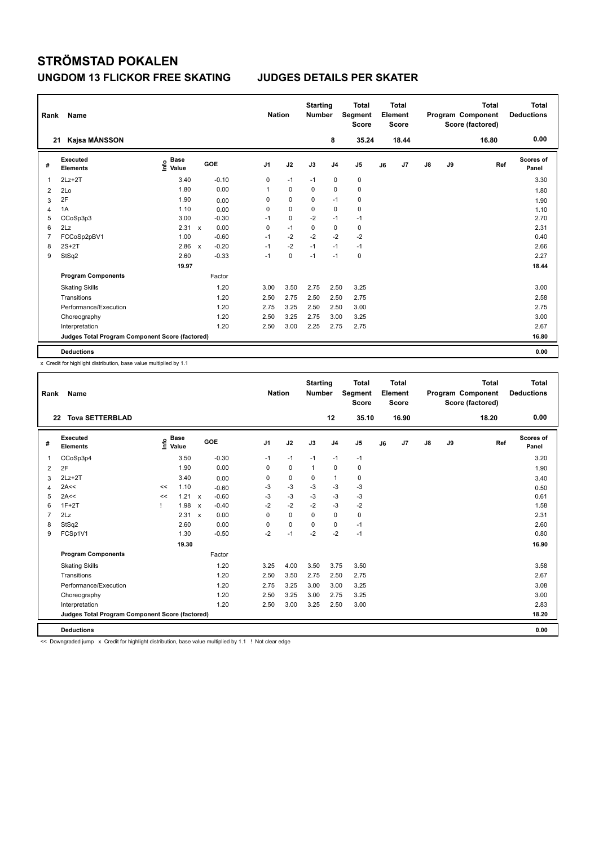| Rank | Name                                            |                                  |              |         |                | <b>Nation</b> |             | <b>Starting</b><br><b>Number</b> | <b>Total</b><br>Segment<br><b>Score</b> |    | <b>Total</b><br>Element<br><b>Score</b> |               |    | <b>Total</b><br>Program Component<br>Score (factored) | <b>Total</b><br><b>Deductions</b> |
|------|-------------------------------------------------|----------------------------------|--------------|---------|----------------|---------------|-------------|----------------------------------|-----------------------------------------|----|-----------------------------------------|---------------|----|-------------------------------------------------------|-----------------------------------|
|      | Kajsa MÅNSSON<br>21                             |                                  |              |         |                |               |             | 8                                | 35.24                                   |    | 18.44                                   |               |    | 16.80                                                 | 0.00                              |
| #    | Executed<br><b>Elements</b>                     | <b>Base</b><br>e Base<br>⊆ Value |              | GOE     | J <sub>1</sub> | J2            | J3          | J <sub>4</sub>                   | J <sub>5</sub>                          | J6 | J7                                      | $\mathsf{J}8$ | J9 | Ref                                                   | Scores of<br>Panel                |
| 1    | $2Lz+2T$                                        | 3.40                             |              | $-0.10$ | 0              | $-1$          | $-1$        | $\mathbf 0$                      | 0                                       |    |                                         |               |    |                                                       | 3.30                              |
| 2    | 2Lo                                             | 1.80                             |              | 0.00    | 1              | $\mathbf 0$   | $\mathbf 0$ | $\mathbf 0$                      | $\mathbf 0$                             |    |                                         |               |    |                                                       | 1.80                              |
| 3    | 2F                                              | 1.90                             |              | 0.00    | 0              | 0             | 0           | $-1$                             | 0                                       |    |                                         |               |    |                                                       | 1.90                              |
| 4    | 1A                                              | 1.10                             |              | 0.00    | 0              | $\mathbf 0$   | 0           | $\mathbf 0$                      | 0                                       |    |                                         |               |    |                                                       | 1.10                              |
| 5    | CCoSp3p3                                        | 3.00                             |              | $-0.30$ | $-1$           | $\pmb{0}$     | $-2$        | $-1$                             | $-1$                                    |    |                                         |               |    |                                                       | 2.70                              |
| 6    | 2Lz                                             | 2.31                             | $\mathsf{x}$ | 0.00    | 0              | $-1$          | 0           | $\mathbf 0$                      | $\pmb{0}$                               |    |                                         |               |    |                                                       | 2.31                              |
| 7    | FCCoSp2pBV1                                     | 1.00                             |              | $-0.60$ | $-1$           | $-2$          | $-2$        | $-2$                             | $-2$                                    |    |                                         |               |    |                                                       | 0.40                              |
| 8    | $2S+2T$                                         | 2.86                             | $\mathsf{x}$ | $-0.20$ | $-1$           | $-2$          | $-1$        | $-1$                             | $-1$                                    |    |                                         |               |    |                                                       | 2.66                              |
| 9    | StSq2                                           | 2.60                             |              | $-0.33$ | $-1$           | $\mathbf 0$   | $-1$        | $-1$                             | $\pmb{0}$                               |    |                                         |               |    |                                                       | 2.27                              |
|      |                                                 | 19.97                            |              |         |                |               |             |                                  |                                         |    |                                         |               |    |                                                       | 18.44                             |
|      | <b>Program Components</b>                       |                                  |              | Factor  |                |               |             |                                  |                                         |    |                                         |               |    |                                                       |                                   |
|      | <b>Skating Skills</b>                           |                                  |              | 1.20    | 3.00           | 3.50          | 2.75        | 2.50                             | 3.25                                    |    |                                         |               |    |                                                       | 3.00                              |
|      | Transitions                                     |                                  |              | 1.20    | 2.50           | 2.75          | 2.50        | 2.50                             | 2.75                                    |    |                                         |               |    |                                                       | 2.58                              |
|      | Performance/Execution                           |                                  |              | 1.20    | 2.75           | 3.25          | 2.50        | 2.50                             | 3.00                                    |    |                                         |               |    |                                                       | 2.75                              |
|      | Choreography                                    |                                  |              | 1.20    | 2.50           | 3.25          | 2.75        | 3.00                             | 3.25                                    |    |                                         |               |    |                                                       | 3.00                              |
|      | Interpretation                                  |                                  |              | 1.20    | 2.50           | 3.00          | 2.25        | 2.75                             | 2.75                                    |    |                                         |               |    |                                                       | 2.67                              |
|      | Judges Total Program Component Score (factored) |                                  |              |         |                |               |             |                                  |                                         |    |                                         |               |    |                                                       | 16.80                             |
|      | <b>Deductions</b>                               |                                  |              |         |                |               |             |                                  |                                         |    |                                         |               |    |                                                       | 0.00                              |

x Credit for highlight distribution, base value multiplied by 1.1

| Rank           | Name                                            |    |                                  |                           |         |                | <b>Nation</b> | <b>Starting</b><br><b>Number</b> |                | <b>Total</b><br><b>Segment</b><br><b>Score</b> |    | Total<br>Element<br><b>Score</b> |    |    | <b>Total</b><br>Program Component<br>Score (factored) | Total<br><b>Deductions</b> |
|----------------|-------------------------------------------------|----|----------------------------------|---------------------------|---------|----------------|---------------|----------------------------------|----------------|------------------------------------------------|----|----------------------------------|----|----|-------------------------------------------------------|----------------------------|
| 22             | <b>Tova SETTERBLAD</b>                          |    |                                  |                           |         |                |               |                                  | 12             | 35.10                                          |    | 16.90                            |    |    | 18.20                                                 | 0.00                       |
| #              | Executed<br><b>Elements</b>                     |    | <b>Base</b><br>e Base<br>⊆ Value |                           | GOE     | J <sub>1</sub> | J2            | J3                               | J <sub>4</sub> | J <sub>5</sub>                                 | J6 | J7                               | J8 | J9 | Ref                                                   | Scores of<br>Panel         |
| 1              | CCoSp3p4                                        |    | 3.50                             |                           | $-0.30$ | $-1$           | $-1$          | $-1$                             | $-1$           | $-1$                                           |    |                                  |    |    |                                                       | 3.20                       |
| $\overline{2}$ | 2F                                              |    | 1.90                             |                           | 0.00    | 0              | $\mathbf 0$   | $\mathbf{1}$                     | $\mathbf 0$    | $\mathbf 0$                                    |    |                                  |    |    |                                                       | 1.90                       |
| 3              | $2Lz + 2T$                                      |    | 3.40                             |                           | 0.00    | 0              | $\mathbf 0$   | 0                                | $\mathbf{1}$   | 0                                              |    |                                  |    |    |                                                       | 3.40                       |
| $\overline{4}$ | 2A<<                                            | << | 1.10                             |                           | $-0.60$ | $-3$           | $-3$          | $-3$                             | $-3$           | $-3$                                           |    |                                  |    |    |                                                       | 0.50                       |
| 5              | 2A<<                                            | << | 1.21                             | $\mathsf{x}$              | $-0.60$ | $-3$           | $-3$          | $-3$                             | $-3$           | $-3$                                           |    |                                  |    |    |                                                       | 0.61                       |
| 6              | $1F+2T$                                         |    | 1.98                             | $\boldsymbol{\mathsf{x}}$ | $-0.40$ | $-2$           | $-2$          | $-2$                             | $-3$           | $-2$                                           |    |                                  |    |    |                                                       | 1.58                       |
| $\overline{7}$ | 2Lz                                             |    | 2.31                             | $\boldsymbol{\mathsf{x}}$ | 0.00    | $\Omega$       | $\mathbf 0$   | $\mathbf 0$                      | $\mathbf 0$    | $\mathbf 0$                                    |    |                                  |    |    |                                                       | 2.31                       |
| 8              | StSq2                                           |    | 2.60                             |                           | 0.00    | $\Omega$       | $\mathbf 0$   | 0                                | 0              | $-1$                                           |    |                                  |    |    |                                                       | 2.60                       |
| 9              | FCSp1V1                                         |    | 1.30                             |                           | $-0.50$ | $-2$           | $-1$          | $-2$                             | $-2$           | $-1$                                           |    |                                  |    |    |                                                       | 0.80                       |
|                |                                                 |    | 19.30                            |                           |         |                |               |                                  |                |                                                |    |                                  |    |    |                                                       | 16.90                      |
|                | <b>Program Components</b>                       |    |                                  |                           | Factor  |                |               |                                  |                |                                                |    |                                  |    |    |                                                       |                            |
|                | <b>Skating Skills</b>                           |    |                                  |                           | 1.20    | 3.25           | 4.00          | 3.50                             | 3.75           | 3.50                                           |    |                                  |    |    |                                                       | 3.58                       |
|                | Transitions                                     |    |                                  |                           | 1.20    | 2.50           | 3.50          | 2.75                             | 2.50           | 2.75                                           |    |                                  |    |    |                                                       | 2.67                       |
|                | Performance/Execution                           |    |                                  |                           | 1.20    | 2.75           | 3.25          | 3.00                             | 3.00           | 3.25                                           |    |                                  |    |    |                                                       | 3.08                       |
|                | Choreography                                    |    |                                  |                           | 1.20    | 2.50           | 3.25          | 3.00                             | 2.75           | 3.25                                           |    |                                  |    |    |                                                       | 3.00                       |
|                | Interpretation                                  |    |                                  |                           | 1.20    | 2.50           | 3.00          | 3.25                             | 2.50           | 3.00                                           |    |                                  |    |    |                                                       | 2.83                       |
|                | Judges Total Program Component Score (factored) |    |                                  |                           |         |                |               |                                  |                |                                                |    |                                  |    |    |                                                       | 18.20                      |
|                | <b>Deductions</b>                               |    |                                  |                           |         |                |               |                                  |                |                                                |    |                                  |    |    |                                                       | 0.00                       |

<< Downgraded jump x Credit for highlight distribution, base value multiplied by 1.1 ! Not clear edge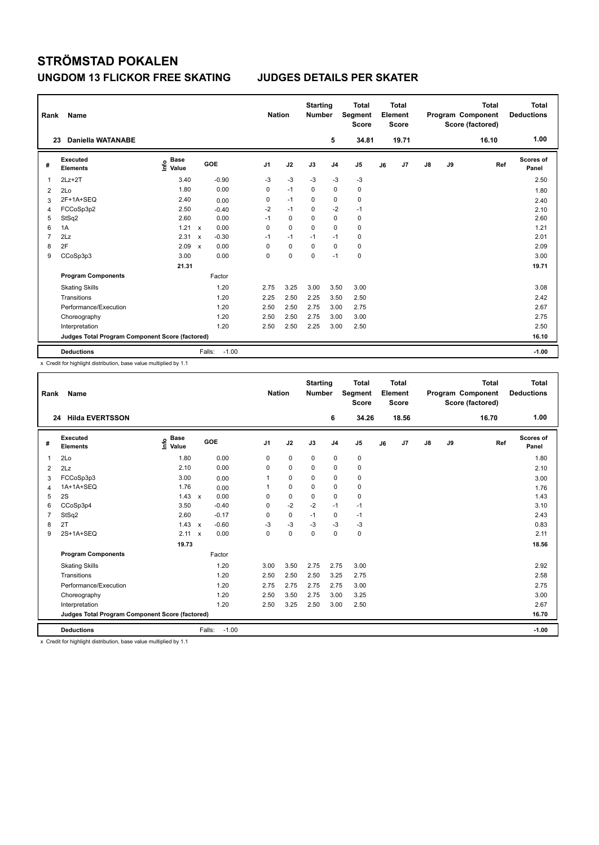| Rank | Name                                            |                                  |                           |                   | <b>Nation</b>  |             | <b>Starting</b><br><b>Number</b> |                | <b>Total</b><br>Segment<br><b>Score</b> |    | <b>Total</b><br>Element<br><b>Score</b> |               |    | <b>Total</b><br>Program Component<br>Score (factored) | <b>Total</b><br><b>Deductions</b> |
|------|-------------------------------------------------|----------------------------------|---------------------------|-------------------|----------------|-------------|----------------------------------|----------------|-----------------------------------------|----|-----------------------------------------|---------------|----|-------------------------------------------------------|-----------------------------------|
|      | <b>Daniella WATANABE</b><br>23                  |                                  |                           |                   |                |             |                                  | 5              | 34.81                                   |    | 19.71                                   |               |    | 16.10                                                 | 1.00                              |
| #    | <b>Executed</b><br><b>Elements</b>              | <b>Base</b><br>e Base<br>⊆ Value |                           | GOE               | J <sub>1</sub> | J2          | J3                               | J <sub>4</sub> | J <sub>5</sub>                          | J6 | J7                                      | $\mathsf{J}8$ | J9 | Ref                                                   | <b>Scores of</b><br>Panel         |
| 1    | $2Lz+2T$                                        | 3.40                             |                           | $-0.90$           | $-3$           | $-3$        | $-3$                             | $-3$           | $-3$                                    |    |                                         |               |    |                                                       | 2.50                              |
| 2    | 2Lo                                             | 1.80                             |                           | 0.00              | 0              | $-1$        | 0                                | $\mathbf 0$    | $\pmb{0}$                               |    |                                         |               |    |                                                       | 1.80                              |
| 3    | 2F+1A+SEQ                                       | 2.40                             |                           | 0.00              | 0              | $-1$        | 0                                | $\pmb{0}$      | $\pmb{0}$                               |    |                                         |               |    |                                                       | 2.40                              |
| 4    | FCCoSp3p2                                       | 2.50                             |                           | $-0.40$           | $-2$           | $-1$        | 0                                | $-2$           | $-1$                                    |    |                                         |               |    |                                                       | 2.10                              |
| 5    | StSq2                                           | 2.60                             |                           | 0.00              | $-1$           | 0           | 0                                | $\mathbf 0$    | 0                                       |    |                                         |               |    |                                                       | 2.60                              |
| 6    | 1A                                              | 1.21                             | $\mathsf{x}$              | 0.00              | 0              | $\mathbf 0$ | 0                                | 0              | 0                                       |    |                                         |               |    |                                                       | 1.21                              |
| 7    | 2Lz                                             | 2.31                             | $\boldsymbol{\mathsf{x}}$ | $-0.30$           | $-1$           | $-1$        | $-1$                             | $-1$           | 0                                       |    |                                         |               |    |                                                       | 2.01                              |
| 8    | 2F                                              | 2.09                             | $\boldsymbol{\mathsf{x}}$ | 0.00              | 0              | 0           | 0                                | $\mathbf 0$    | $\mathbf 0$                             |    |                                         |               |    |                                                       | 2.09                              |
| 9    | CCoSp3p3                                        | 3.00                             |                           | 0.00              | 0              | $\mathbf 0$ | 0                                | $-1$           | $\pmb{0}$                               |    |                                         |               |    |                                                       | 3.00                              |
|      |                                                 | 21.31                            |                           |                   |                |             |                                  |                |                                         |    |                                         |               |    |                                                       | 19.71                             |
|      | <b>Program Components</b>                       |                                  |                           | Factor            |                |             |                                  |                |                                         |    |                                         |               |    |                                                       |                                   |
|      | <b>Skating Skills</b>                           |                                  |                           | 1.20              | 2.75           | 3.25        | 3.00                             | 3.50           | 3.00                                    |    |                                         |               |    |                                                       | 3.08                              |
|      | Transitions                                     |                                  |                           | 1.20              | 2.25           | 2.50        | 2.25                             | 3.50           | 2.50                                    |    |                                         |               |    |                                                       | 2.42                              |
|      | Performance/Execution                           |                                  |                           | 1.20              | 2.50           | 2.50        | 2.75                             | 3.00           | 2.75                                    |    |                                         |               |    |                                                       | 2.67                              |
|      | Choreography                                    |                                  |                           | 1.20              | 2.50           | 2.50        | 2.75                             | 3.00           | 3.00                                    |    |                                         |               |    |                                                       | 2.75                              |
|      | Interpretation                                  |                                  |                           | 1.20              | 2.50           | 2.50        | 2.25                             | 3.00           | 2.50                                    |    |                                         |               |    |                                                       | 2.50                              |
|      | Judges Total Program Component Score (factored) |                                  |                           |                   |                |             |                                  |                |                                         |    |                                         |               |    |                                                       | 16.10                             |
|      | <b>Deductions</b>                               |                                  |                           | $-1.00$<br>Falls: |                |             |                                  |                |                                         |    |                                         |               |    |                                                       | $-1.00$                           |

x Credit for highlight distribution, base value multiplied by 1.1

| Rank           | <b>Name</b>                                     |                                    |                           |         | <b>Nation</b>  |             | <b>Starting</b><br><b>Number</b> |                | <b>Total</b><br>Segment<br><b>Score</b> |    | Total<br>Element<br><b>Score</b> |               |    | <b>Total</b><br>Program Component<br>Score (factored) | <b>Total</b><br><b>Deductions</b> |
|----------------|-------------------------------------------------|------------------------------------|---------------------------|---------|----------------|-------------|----------------------------------|----------------|-----------------------------------------|----|----------------------------------|---------------|----|-------------------------------------------------------|-----------------------------------|
| 24             | <b>Hilda EVERTSSON</b>                          |                                    |                           |         |                |             |                                  | 6              | 34.26                                   |    | 18.56                            |               |    | 16.70                                                 | 1.00                              |
| #              | Executed<br><b>Elements</b>                     | <b>Base</b><br>$\frac{6}{5}$ Value | GOE                       |         | J <sub>1</sub> | J2          | J3                               | J <sub>4</sub> | J <sub>5</sub>                          | J6 | J7                               | $\mathsf{J}8$ | J9 | Ref                                                   | <b>Scores of</b><br>Panel         |
| $\overline{1}$ | 2Lo                                             | 1.80                               |                           | 0.00    | 0              | $\pmb{0}$   | $\mathbf 0$                      | $\pmb{0}$      | 0                                       |    |                                  |               |    |                                                       | 1.80                              |
| 2              | 2Lz                                             | 2.10                               |                           | 0.00    | 0              | 0           | 0                                | 0              | 0                                       |    |                                  |               |    |                                                       | 2.10                              |
| 3              | FCCoSp3p3                                       | 3.00                               |                           | 0.00    |                | $\mathbf 0$ | 0                                | $\mathbf 0$    | $\mathbf 0$                             |    |                                  |               |    |                                                       | 3.00                              |
| $\overline{4}$ | 1A+1A+SEQ                                       | 1.76                               |                           | 0.00    |                | $\mathbf 0$ | $\mathbf 0$                      | $\mathbf 0$    | $\mathbf 0$                             |    |                                  |               |    |                                                       | 1.76                              |
| 5              | 2S                                              | 1.43                               | $\mathsf{x}$              | 0.00    | 0              | $\mathbf 0$ | $\mathbf 0$                      | $\mathbf 0$    | 0                                       |    |                                  |               |    |                                                       | 1.43                              |
| 6              | CCoSp3p4                                        | 3.50                               |                           | $-0.40$ | $\Omega$       | $-2$        | $-2$                             | $-1$           | $-1$                                    |    |                                  |               |    |                                                       | 3.10                              |
| $\overline{7}$ | StSq2                                           | 2.60                               |                           | $-0.17$ | 0              | $\mathbf 0$ | $-1$                             | $\mathbf 0$    | $-1$                                    |    |                                  |               |    |                                                       | 2.43                              |
| 8              | 2T                                              | 1.43                               | $\boldsymbol{\mathsf{x}}$ | $-0.60$ | $-3$           | $-3$        | $-3$                             | $-3$           | $-3$                                    |    |                                  |               |    |                                                       | 0.83                              |
| 9              | 2S+1A+SEQ                                       | 2.11                               | $\boldsymbol{\mathsf{x}}$ | 0.00    | $\Omega$       | $\mathbf 0$ | $\Omega$                         | $\Omega$       | $\mathbf 0$                             |    |                                  |               |    |                                                       | 2.11                              |
|                |                                                 | 19.73                              |                           |         |                |             |                                  |                |                                         |    |                                  |               |    |                                                       | 18.56                             |
|                | <b>Program Components</b>                       |                                    |                           | Factor  |                |             |                                  |                |                                         |    |                                  |               |    |                                                       |                                   |
|                | <b>Skating Skills</b>                           |                                    |                           | 1.20    | 3.00           | 3.50        | 2.75                             | 2.75           | 3.00                                    |    |                                  |               |    |                                                       | 2.92                              |
|                | Transitions                                     |                                    |                           | 1.20    | 2.50           | 2.50        | 2.50                             | 3.25           | 2.75                                    |    |                                  |               |    |                                                       | 2.58                              |
|                | Performance/Execution                           |                                    |                           | 1.20    | 2.75           | 2.75        | 2.75                             | 2.75           | 3.00                                    |    |                                  |               |    |                                                       | 2.75                              |
|                | Choreography                                    |                                    |                           | 1.20    | 2.50           | 3.50        | 2.75                             | 3.00           | 3.25                                    |    |                                  |               |    |                                                       | 3.00                              |
|                | Interpretation                                  |                                    |                           | 1.20    | 2.50           | 3.25        | 2.50                             | 3.00           | 2.50                                    |    |                                  |               |    |                                                       | 2.67                              |
|                | Judges Total Program Component Score (factored) |                                    |                           |         |                |             |                                  |                |                                         |    |                                  |               |    |                                                       | 16.70                             |
|                | <b>Deductions</b>                               |                                    | Falls:                    | $-1.00$ |                |             |                                  |                |                                         |    |                                  |               |    |                                                       | $-1.00$                           |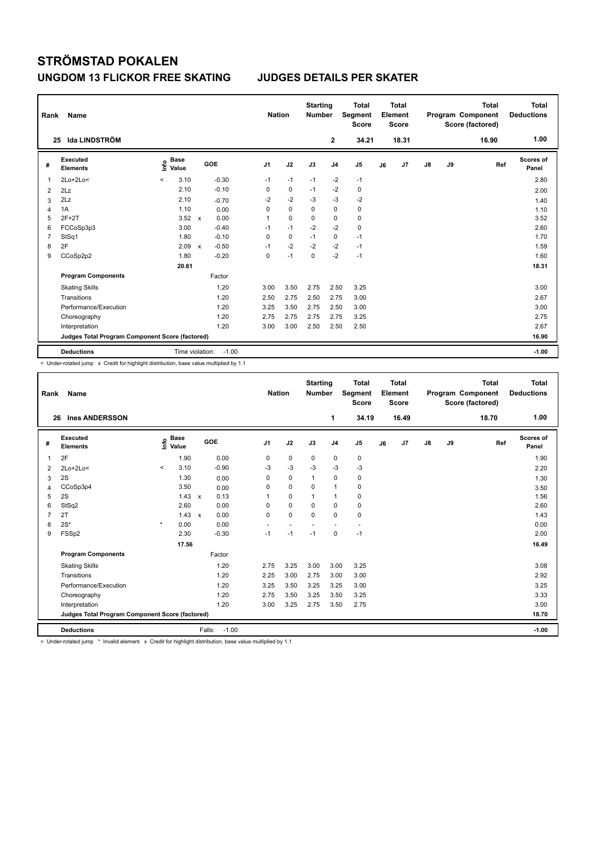| Rank           | Name                                            |                              | <b>Nation</b>              |                | <b>Starting</b><br><b>Number</b> | <b>Total</b><br>Segment<br><b>Score</b> | <b>Total</b><br>Element<br><b>Score</b> |                |    |       | <b>Total</b><br>Program Component<br>Score (factored) | Total<br><b>Deductions</b> |       |                    |
|----------------|-------------------------------------------------|------------------------------|----------------------------|----------------|----------------------------------|-----------------------------------------|-----------------------------------------|----------------|----|-------|-------------------------------------------------------|----------------------------|-------|--------------------|
|                | Ida LINDSTRÖM<br>25                             |                              |                            |                |                                  |                                         | $\mathbf{2}$                            | 34.21          |    | 18.31 |                                                       |                            | 16.90 | 1.00               |
| #              | Executed<br><b>Elements</b>                     | <b>Base</b><br>١nf٥<br>Value | GOE                        | J <sub>1</sub> | J2                               | J3                                      | J <sub>4</sub>                          | J <sub>5</sub> | J6 | J7    | $\mathsf{J}8$                                         | J9                         | Ref   | Scores of<br>Panel |
| 1              | $2Lo+2Lo<$                                      | 3.10<br>$\,<\,$              | $-0.30$                    | $-1$           | $-1$                             | $-1$                                    | $-2$                                    | $-1$           |    |       |                                                       |                            |       | 2.80               |
| 2              | 2Lz                                             | 2.10                         | $-0.10$                    | 0              | $\mathbf 0$                      | $-1$                                    | $-2$                                    | 0              |    |       |                                                       |                            |       | 2.00               |
| 3              | 2Lz                                             | 2.10                         | $-0.70$                    | $-2$           | $-2$                             | $-3$                                    | $-3$                                    | $-2$           |    |       |                                                       |                            |       | 1.40               |
| 4              | 1A                                              | 1.10                         | 0.00                       | 0              | $\mathbf 0$                      | $\Omega$                                | $\mathbf 0$                             | $\mathbf 0$    |    |       |                                                       |                            |       | 1.10               |
| 5              | $2F+2T$                                         | 3.52                         | 0.00<br>$\mathsf{x}$       | 1              | $\mathbf 0$                      | $\mathbf 0$                             | $\mathbf 0$                             | $\pmb{0}$      |    |       |                                                       |                            |       | 3.52               |
| 6              | FCCoSp3p3                                       | 3.00                         | $-0.40$                    | $-1$           | $-1$                             | $-2$                                    | $-2$                                    | $\pmb{0}$      |    |       |                                                       |                            |       | 2.60               |
| $\overline{7}$ | StSq1                                           | 1.80                         | $-0.10$                    | 0              | $\mathbf 0$                      | $-1$                                    | $\mathbf 0$                             | $-1$           |    |       |                                                       |                            |       | 1.70               |
| 8              | 2F                                              | 2.09                         | $-0.50$<br>$\mathbf x$     | $-1$           | $-2$                             | $-2$                                    | $-2$                                    | $-1$           |    |       |                                                       |                            |       | 1.59               |
| 9              | CCoSp2p2                                        | 1.80                         | $-0.20$                    | 0              | $-1$                             | $\mathbf 0$                             | $-2$                                    | $-1$           |    |       |                                                       |                            |       | 1.60               |
|                |                                                 | 20.61                        |                            |                |                                  |                                         |                                         |                |    |       |                                                       |                            |       | 18.31              |
|                | <b>Program Components</b>                       |                              | Factor                     |                |                                  |                                         |                                         |                |    |       |                                                       |                            |       |                    |
|                | <b>Skating Skills</b>                           |                              | 1.20                       | 3.00           | 3.50                             | 2.75                                    | 2.50                                    | 3.25           |    |       |                                                       |                            |       | 3.00               |
|                | Transitions                                     |                              | 1.20                       | 2.50           | 2.75                             | 2.50                                    | 2.75                                    | 3.00           |    |       |                                                       |                            |       | 2.67               |
|                | Performance/Execution                           |                              | 1.20                       | 3.25           | 3.50                             | 2.75                                    | 2.50                                    | 3.00           |    |       |                                                       |                            |       | 3.00               |
|                | Choreography                                    |                              | 1.20                       | 2.75           | 2.75                             | 2.75                                    | 2.75                                    | 3.25           |    |       |                                                       |                            |       | 2.75               |
|                | Interpretation                                  |                              | 1.20                       | 3.00           | 3.00                             | 2.50                                    | 2.50                                    | 2.50           |    |       |                                                       |                            |       | 2.67               |
|                | Judges Total Program Component Score (factored) |                              |                            |                |                                  |                                         |                                         |                |    |       |                                                       |                            |       | 16.90              |
|                | <b>Deductions</b>                               |                              | Time violation:<br>$-1.00$ |                |                                  |                                         |                                         |                |    |       |                                                       |                            |       | $-1.00$            |

< Under-rotated jump x Credit for highlight distribution, base value multiplied by 1.1

| Rank                                            | Name                        |         |                      |              |         | <b>Nation</b>  |                          | <b>Starting</b><br><b>Number</b> |                | <b>Total</b><br>Segment<br><b>Score</b> |    | <b>Total</b><br>Element<br><b>Score</b> |               |    | <b>Total</b><br>Program Component<br>Score (factored) | <b>Total</b><br><b>Deductions</b> |
|-------------------------------------------------|-----------------------------|---------|----------------------|--------------|---------|----------------|--------------------------|----------------------------------|----------------|-----------------------------------------|----|-----------------------------------------|---------------|----|-------------------------------------------------------|-----------------------------------|
| 26                                              | <b>Ines ANDERSSON</b>       |         |                      |              |         |                |                          |                                  | 1              | 34.19                                   |    | 16.49                                   |               |    | 18.70                                                 | 1.00                              |
| #                                               | Executed<br><b>Elements</b> | ١nfo    | <b>Base</b><br>Value |              | GOE     | J <sub>1</sub> | J2                       | J3                               | J <sub>4</sub> | J <sub>5</sub>                          | J6 | J7                                      | $\mathsf{J}8$ | J9 | Ref                                                   | <b>Scores of</b><br>Panel         |
| 1                                               | 2F                          |         | 1.90                 |              | 0.00    | 0              | $\pmb{0}$                | 0                                | $\mathbf 0$    | 0                                       |    |                                         |               |    |                                                       | 1.90                              |
| 2                                               | $2Lo+2Lo<$                  | $\prec$ | 3.10                 |              | $-0.90$ | $-3$           | $-3$                     | $-3$                             | $-3$           | $-3$                                    |    |                                         |               |    |                                                       | 2.20                              |
| 3                                               | 2S                          |         | 1.30                 |              | 0.00    | 0              | 0                        | 1                                | $\mathbf 0$    | 0                                       |    |                                         |               |    |                                                       | 1.30                              |
| $\overline{4}$                                  | CCoSp3p4                    |         | 3.50                 |              | 0.00    | 0              | $\mathbf 0$              | $\mathbf 0$                      | $\mathbf{1}$   | $\pmb{0}$                               |    |                                         |               |    |                                                       | 3.50                              |
| 5                                               | 2S                          |         | 1.43                 | $\mathsf{x}$ | 0.13    | 1              | $\mathbf 0$              | $\mathbf{1}$                     | $\mathbf{1}$   | 0                                       |    |                                         |               |    |                                                       | 1.56                              |
| 6                                               | StSq2                       |         | 2.60                 |              | 0.00    | 0              | 0                        | 0                                | 0              | 0                                       |    |                                         |               |    |                                                       | 2.60                              |
| $\overline{7}$                                  | 2T                          |         | 1.43                 | $\mathsf{x}$ | 0.00    | 0              | $\mathbf 0$              | $\Omega$                         | 0              | $\mathbf 0$                             |    |                                         |               |    |                                                       | 1.43                              |
| 8                                               | $2S^*$                      | $\star$ | 0.00                 |              | 0.00    | $\overline{a}$ | $\overline{\phantom{a}}$ |                                  | ٠              | $\ddot{\phantom{1}}$                    |    |                                         |               |    |                                                       | 0.00                              |
| 9                                               | FSSp2                       |         | 2.30                 |              | $-0.30$ | $-1$           | $-1$                     | $-1$                             | 0              | $-1$                                    |    |                                         |               |    |                                                       | 2.00                              |
|                                                 |                             |         | 17.56                |              |         |                |                          |                                  |                |                                         |    |                                         |               |    |                                                       | 16.49                             |
|                                                 | <b>Program Components</b>   |         |                      |              | Factor  |                |                          |                                  |                |                                         |    |                                         |               |    |                                                       |                                   |
|                                                 | <b>Skating Skills</b>       |         |                      |              | 1.20    | 2.75           | 3.25                     | 3.00                             | 3.00           | 3.25                                    |    |                                         |               |    |                                                       | 3.08                              |
|                                                 | Transitions                 |         |                      |              | 1.20    | 2.25           | 3.00                     | 2.75                             | 3.00           | 3.00                                    |    |                                         |               |    |                                                       | 2.92                              |
|                                                 | Performance/Execution       |         |                      |              | 1.20    | 3.25           | 3.50                     | 3.25                             | 3.25           | 3.00                                    |    |                                         |               |    |                                                       | 3.25                              |
|                                                 | Choreography                |         |                      |              | 1.20    | 2.75           | 3.50                     | 3.25                             | 3.50           | 3.25                                    |    |                                         |               |    |                                                       | 3.33                              |
|                                                 | Interpretation              |         |                      |              | 1.20    | 3.00           | 3.25                     | 2.75                             | 3.50           | 2.75                                    |    |                                         |               |    |                                                       | 3.00                              |
| Judges Total Program Component Score (factored) |                             |         |                      |              |         |                |                          |                                  |                |                                         |    |                                         | 18.70         |    |                                                       |                                   |
|                                                 | <b>Deductions</b>           |         |                      | Falls:       | $-1.00$ |                |                          |                                  |                |                                         |    |                                         |               |    |                                                       | $-1.00$                           |

< Under-rotated jump \* Invalid element x Credit for highlight distribution, base value multiplied by 1.1